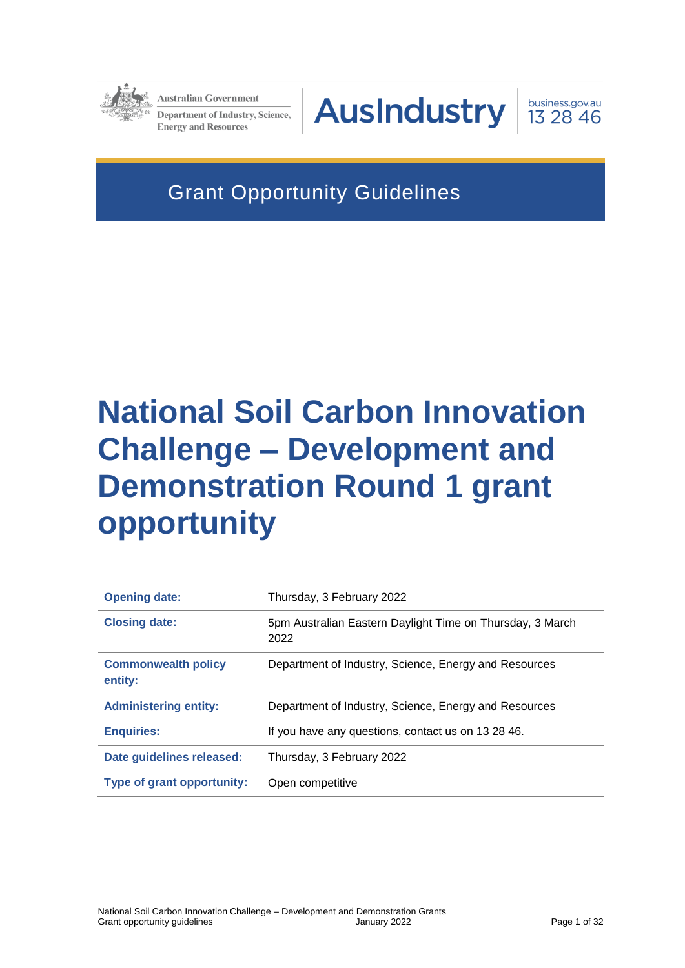

**Australian Government** Department of Industry, Science, **Energy and Resources** 

**AusIndustry** 



Grant Opportunity Guidelines

# **National Soil Carbon Innovation Challenge – Development and Demonstration Round 1 grant opportunity**

| <b>Opening date:</b>                  | Thursday, 3 February 2022                                         |
|---------------------------------------|-------------------------------------------------------------------|
| <b>Closing date:</b>                  | 5pm Australian Eastern Daylight Time on Thursday, 3 March<br>2022 |
| <b>Commonwealth policy</b><br>entity: | Department of Industry, Science, Energy and Resources             |
| <b>Administering entity:</b>          | Department of Industry, Science, Energy and Resources             |
| <b>Enquiries:</b>                     | If you have any questions, contact us on 13 28 46.                |
| Date guidelines released:             | Thursday, 3 February 2022                                         |
| Type of grant opportunity:            | Open competitive                                                  |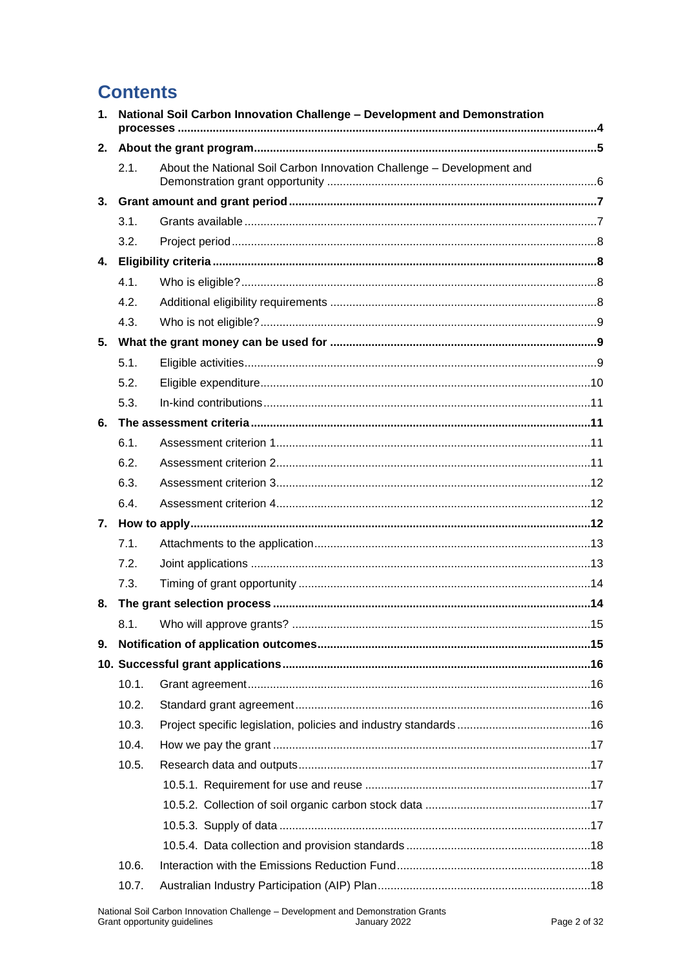# **Contents**

| 1. |       | National Soil Carbon Innovation Challenge - Development and Demonstration |  |
|----|-------|---------------------------------------------------------------------------|--|
| 2. |       |                                                                           |  |
|    | 2.1.  | About the National Soil Carbon Innovation Challenge - Development and     |  |
| 3. |       |                                                                           |  |
|    | 3.1.  |                                                                           |  |
|    | 3.2.  |                                                                           |  |
|    |       |                                                                           |  |
|    | 4.1.  |                                                                           |  |
|    | 4.2.  |                                                                           |  |
|    | 4.3.  |                                                                           |  |
| 5. |       |                                                                           |  |
|    | 5.1.  |                                                                           |  |
|    | 5.2.  |                                                                           |  |
|    | 5.3.  |                                                                           |  |
| 6. |       |                                                                           |  |
|    | 6.1.  |                                                                           |  |
|    | 6.2.  |                                                                           |  |
|    | 6.3.  |                                                                           |  |
|    | 6.4.  |                                                                           |  |
|    |       |                                                                           |  |
|    | 7.1.  |                                                                           |  |
|    | 7.2.  |                                                                           |  |
|    | 7.3.  |                                                                           |  |
| 8. |       |                                                                           |  |
|    |       |                                                                           |  |
| 9. |       |                                                                           |  |
|    |       |                                                                           |  |
|    | 10.1. |                                                                           |  |
|    | 10.2. |                                                                           |  |
|    | 10.3. |                                                                           |  |
|    | 10.4. |                                                                           |  |
|    | 10.5. |                                                                           |  |
|    |       |                                                                           |  |
|    |       |                                                                           |  |
|    |       |                                                                           |  |
|    |       |                                                                           |  |
|    | 10.6. |                                                                           |  |
|    | 10.7. |                                                                           |  |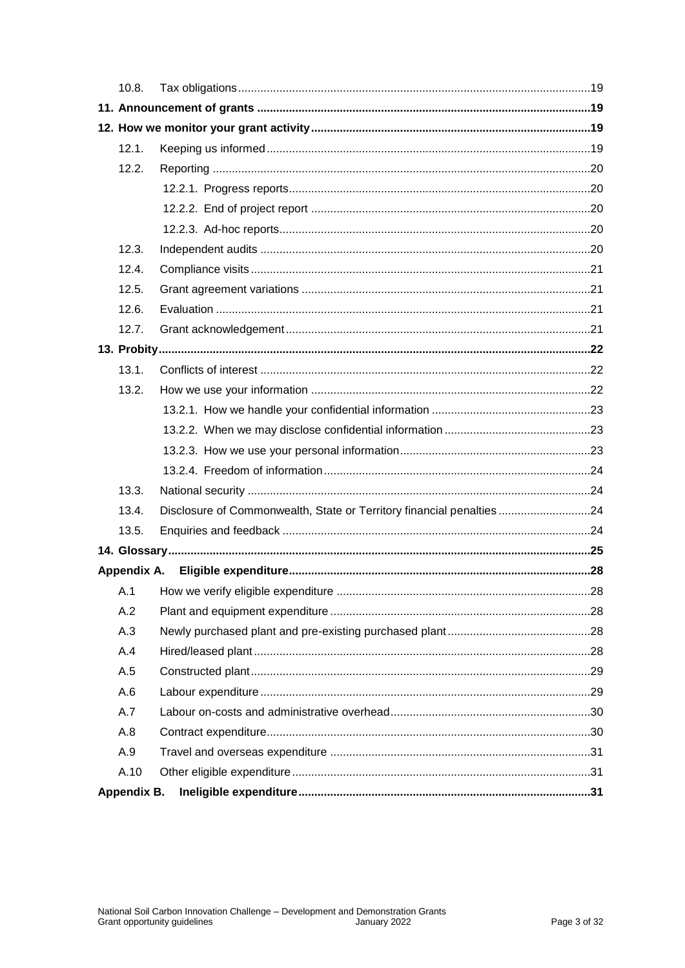| 10.8.       |                                                                      |  |
|-------------|----------------------------------------------------------------------|--|
|             |                                                                      |  |
|             |                                                                      |  |
| 12.1.       |                                                                      |  |
| 12.2.       |                                                                      |  |
|             |                                                                      |  |
|             |                                                                      |  |
|             |                                                                      |  |
| 12.3.       |                                                                      |  |
| 12.4.       |                                                                      |  |
| 12.5.       |                                                                      |  |
| 12.6.       |                                                                      |  |
| 12.7.       |                                                                      |  |
|             |                                                                      |  |
| 13.1.       |                                                                      |  |
| 13.2.       |                                                                      |  |
|             |                                                                      |  |
|             |                                                                      |  |
|             |                                                                      |  |
|             |                                                                      |  |
| 13.3.       |                                                                      |  |
| 13.4.       | Disclosure of Commonwealth, State or Territory financial penalties24 |  |
| 13.5.       |                                                                      |  |
|             |                                                                      |  |
|             |                                                                      |  |
|             |                                                                      |  |
| A.2         |                                                                      |  |
| A.3         |                                                                      |  |
| A.4         |                                                                      |  |
| A.5         |                                                                      |  |
| A.6         |                                                                      |  |
| A.7         |                                                                      |  |
| A.8         |                                                                      |  |
| A.9         |                                                                      |  |
| A.10        |                                                                      |  |
| Appendix B. |                                                                      |  |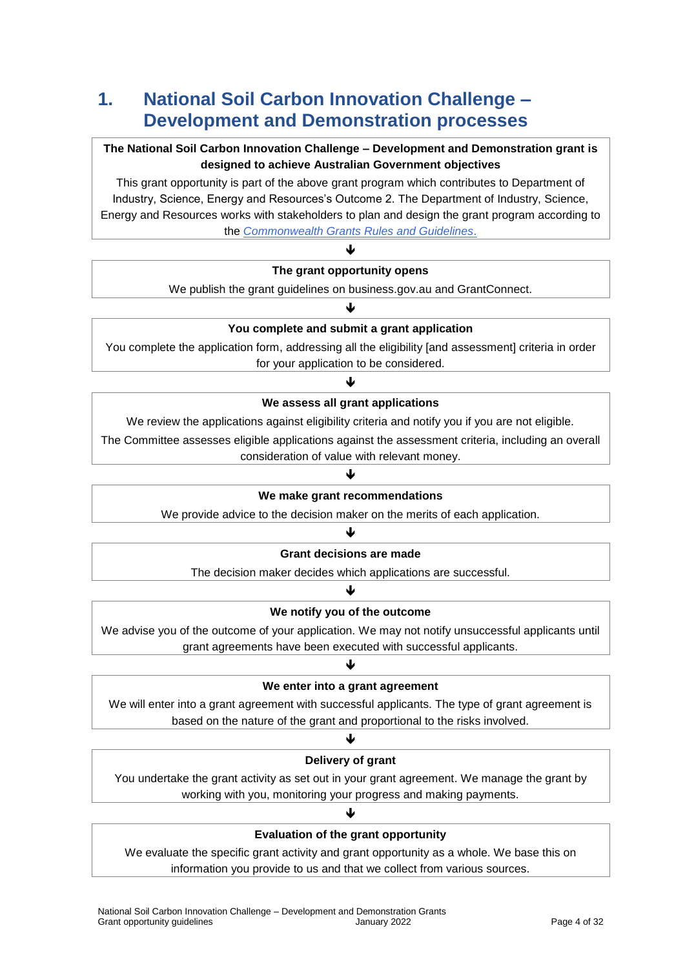# **1. National Soil Carbon Innovation Challenge – Development and Demonstration processes**

#### **The National Soil Carbon Innovation Challenge – Development and Demonstration grant is designed to achieve Australian Government objectives**

This grant opportunity is part of the above grant program which contributes to Department of Industry, Science, Energy and Resources's Outcome 2. The Department of Industry, Science, Energy and Resources works with stakeholders to plan and design the grant program according to the *[Commonwealth Grants Rules and Guidelines](https://www.finance.gov.au/government/commonwealth-grants/commonwealth-grants-rules-guidelines)*.

#### $\blacktriangledown$ **The grant opportunity opens**

We publish the grant guidelines on business.gov.au and GrantConnect. ↓

### **You complete and submit a grant application**

You complete the application form, addressing all the eligibility [and assessment] criteria in order for your application to be considered.

### J **We assess all grant applications**

We review the applications against eligibility criteria and notify you if you are not eligible.

The Committee assesses eligible applications against the assessment criteria, including an overall consideration of value with relevant money.

#### ↓

#### **We make grant recommendations**

We provide advice to the decision maker on the merits of each application.

#### ♥

#### **Grant decisions are made**

The decision maker decides which applications are successful. J

### **We notify you of the outcome**

We advise you of the outcome of your application. We may not notify unsuccessful applicants until grant agreements have been executed with successful applicants.

### J **We enter into a grant agreement**

We will enter into a grant agreement with successful applicants. The type of grant agreement is based on the nature of the grant and proportional to the risks involved.

#### J

#### **Delivery of grant**

You undertake the grant activity as set out in your grant agreement. We manage the grant by working with you, monitoring your progress and making payments.

### ♦

#### **Evaluation of the grant opportunity**

We evaluate the specific grant activity and grant opportunity as a whole. We base this on information you provide to us and that we collect from various sources.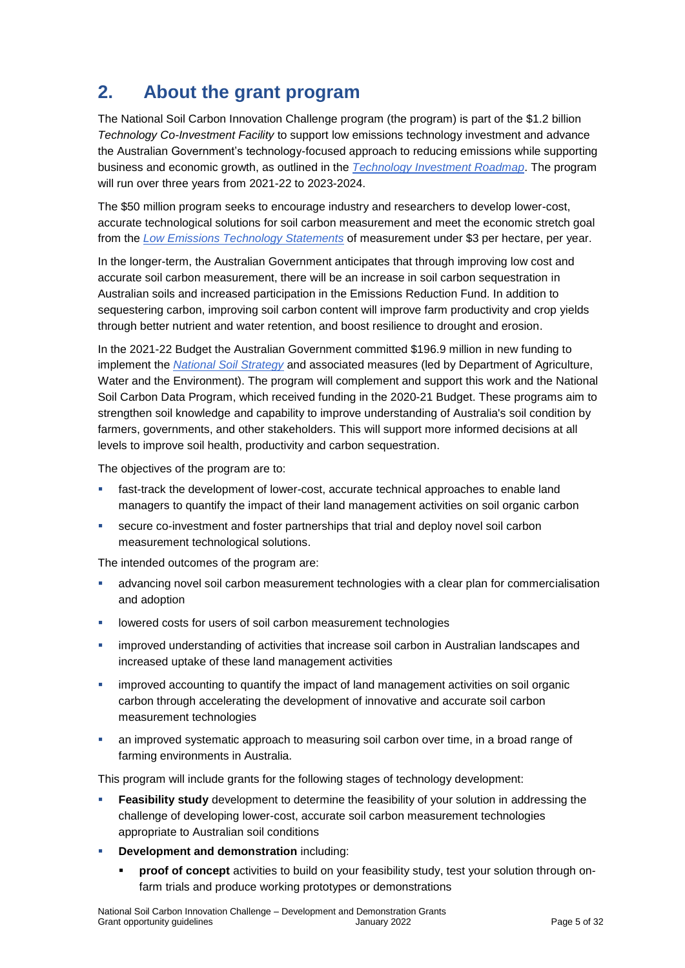# **2. About the grant program**

The National Soil Carbon Innovation Challenge program (the program) is part of the \$1.2 billion *Technology Co-Investment Facility* to support low emissions technology investment and advance the Australian Government's technology-focused approach to reducing emissions while supporting business and economic growth, as outlined in the *[Technology Investment Roadmap](https://www.industry.gov.au/data-and-publications/technology-investment-roadmap)*. The program will run over three years from 2021-22 to 2023-2024.

The \$50 million program seeks to encourage industry and researchers to develop lower-cost, accurate technological solutions for soil carbon measurement and meet the economic stretch goal from the *[Low Emissions Technology Statements](https://www.industry.gov.au/topic/data-and-publications/low-emissions-technology)* of measurement under \$3 per hectare, per year.

In the longer-term, the Australian Government anticipates that through improving low cost and accurate soil carbon measurement, there will be an increase in soil carbon sequestration in Australian soils and increased participation in the Emissions Reduction Fund. In addition to sequestering carbon, improving soil carbon content will improve farm productivity and crop yields through better nutrient and water retention, and boost resilience to drought and erosion.

In the 2021-22 Budget the Australian Government committed \$196.9 million in new funding to implement the *[National Soil Strategy](https://www.awe.gov.au/sites/default/files/documents/national-soil-strategy.pdf)* and associated measures (led by Department of Agriculture, Water and the Environment). The program will complement and support this work and the National Soil Carbon Data Program, which received funding in the 2020-21 Budget. These programs aim to strengthen soil knowledge and capability to improve understanding of Australia's soil condition by farmers, governments, and other stakeholders. This will support more informed decisions at all levels to improve soil health, productivity and carbon sequestration.

The objectives of the program are to:

- **fast-track the development of lower-cost, accurate technical approaches to enable land** managers to quantify the impact of their land management activities on soil organic carbon
- secure co-investment and foster partnerships that trial and deploy novel soil carbon measurement technological solutions.

The intended outcomes of the program are:

- advancing novel soil carbon measurement technologies with a clear plan for commercialisation and adoption
- **-** lowered costs for users of soil carbon measurement technologies
- improved understanding of activities that increase soil carbon in Australian landscapes and increased uptake of these land management activities
- improved accounting to quantify the impact of land management activities on soil organic carbon through accelerating the development of innovative and accurate soil carbon measurement technologies
- an improved systematic approach to measuring soil carbon over time, in a broad range of farming environments in Australia.

This program will include grants for the following stages of technology development:

- **Feasibility study** development to determine the feasibility of your solution in addressing the challenge of developing lower-cost, accurate soil carbon measurement technologies appropriate to Australian soil conditions
- **-** Development and demonstration including:
	- **proof of concept** activities to build on your feasibility study, test your solution through onfarm trials and produce working prototypes or demonstrations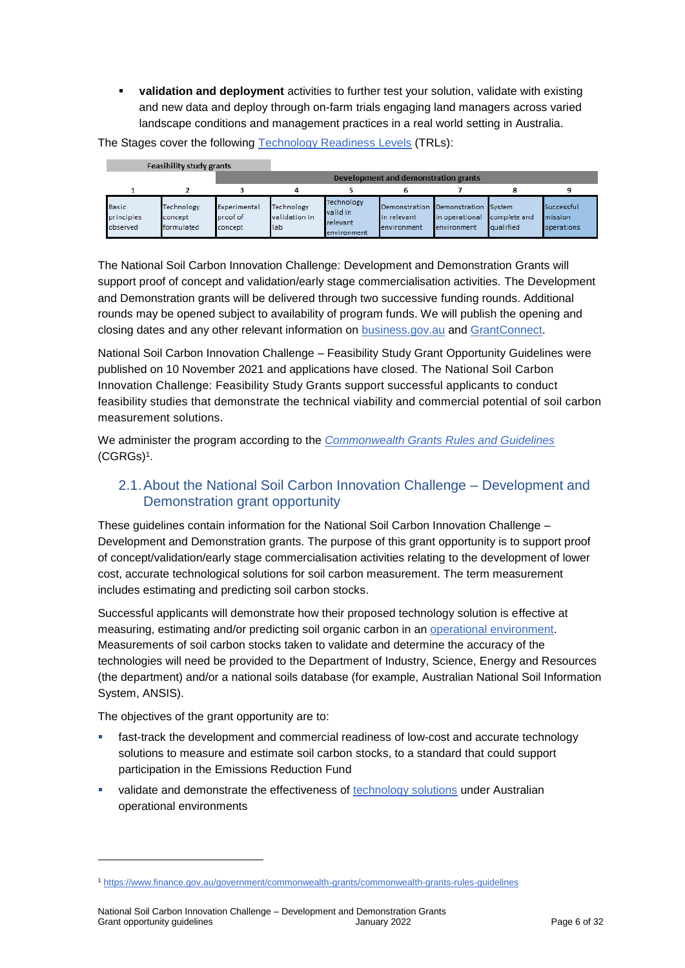**validation and deployment** activities to further test your solution, validate with existing and new data and deploy through on-farm trials engaging land managers across varied landscape conditions and management practices in a real world setting in Australia.

The Stages cover the following [Technology Readiness Levels](#page-24-0) (TRLs):

|                                        | <b>Feasibility study grants</b>     |                                     |                                      |                                                   |                                                                  |                               |                           |                                     |
|----------------------------------------|-------------------------------------|-------------------------------------|--------------------------------------|---------------------------------------------------|------------------------------------------------------------------|-------------------------------|---------------------------|-------------------------------------|
|                                        |                                     |                                     |                                      |                                                   | Development and demonstration grants                             |                               |                           |                                     |
|                                        |                                     |                                     |                                      |                                                   |                                                                  |                               |                           | ۹                                   |
| <b>Basic</b><br>principles<br>observed | Technology<br>concept<br>formulated | Experimental<br>proof of<br>concept | Technology<br>validation in<br>llab. | Technology<br>valid in<br>relevant<br>environment | Demonstration Demonstration System<br>in relevant<br>environment | in operational<br>environment | complete and<br>qualified | Successful<br>mission<br>operations |

The National Soil Carbon Innovation Challenge: Development and Demonstration Grants will support proof of concept and validation/early stage commercialisation activities. The Development and Demonstration grants will be delivered through two successive funding rounds. Additional rounds may be opened subject to availability of program funds. We will publish the opening and closing dates and any other relevant information on [business.gov.au](https://business.gov.au/grants-and-programs/national-soil-carbon-innovation-challenge-development-and-demonstration) and [GrantConnect.](https://www.grants.gov.au/)

National Soil Carbon Innovation Challenge – Feasibility Study Grant Opportunity Guidelines were published on 10 November 2021 and applications have closed. The National Soil Carbon Innovation Challenge: Feasibility Study Grants support successful applicants to conduct feasibility studies that demonstrate the technical viability and commercial potential of soil carbon measurement solutions.

We administer the program according to the *[Commonwealth Grants Rules and Guidelines](https://www.finance.gov.au/government/commonwealth-grants/commonwealth-grants-rules-guidelines)* [\(CGRGs\)](https://www.finance.gov.au/government/commonwealth-grants/commonwealth-grants-rules-guidelines)<sup>1</sup> .

### 2.1.About the National Soil Carbon Innovation Challenge – Development and Demonstration grant opportunity

These guidelines contain information for the National Soil Carbon Innovation Challenge – Development and Demonstration grants. The purpose of this grant opportunity is to support proof of concept/validation/early stage commercialisation activities relating to the development of lower cost, accurate technological solutions for soil carbon measurement. The term measurement includes estimating and predicting soil carbon stocks.

Successful applicants will demonstrate how their proposed technology solution is effective at measuring, estimating and/or predicting soil organic carbon in an [operational environment.](#page-24-0) Measurements of soil carbon stocks taken to validate and determine the accuracy of the technologies will need be provided to the Department of Industry, Science, Energy and Resources (the department) and/or a national soils database (for example, Australian National Soil Information System, ANSIS).

The objectives of the grant opportunity are to:

1

- fast-track the development and commercial readiness of low-cost and accurate technology solutions to measure and estimate soil carbon stocks, to a standard that could support participation in the Emissions Reduction Fund
- validate and demonstrate the effectiveness of [technology solutions](#page-24-0) under Australian operational environments

<sup>1</sup> <https://www.finance.gov.au/government/commonwealth-grants/commonwealth-grants-rules-guidelines>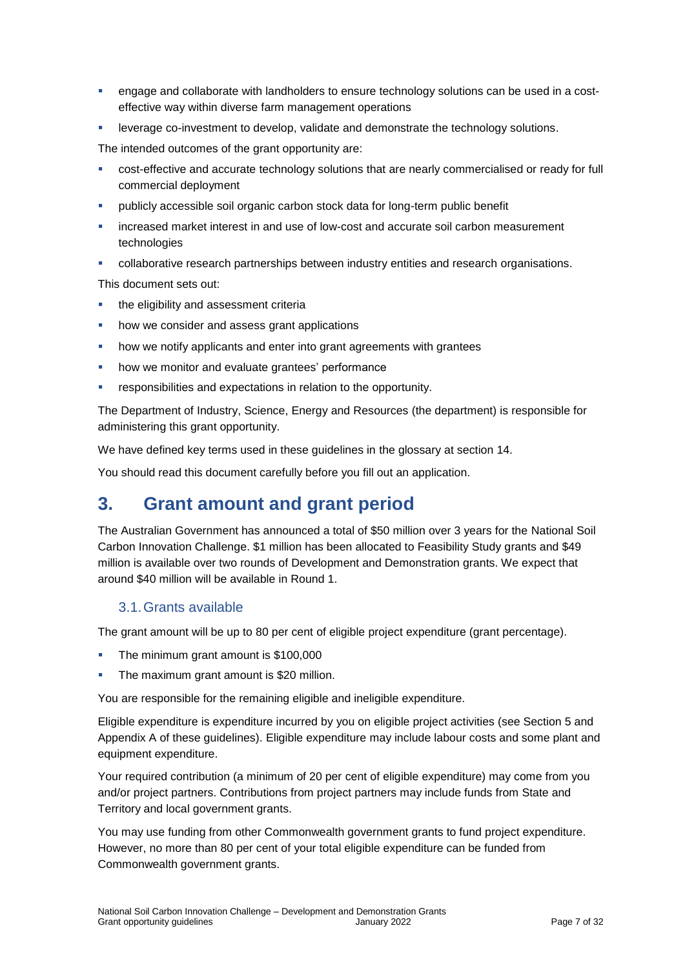- **EXECT** engage and collaborate with landholders to ensure technology solutions can be used in a costeffective way within diverse farm management operations
- leverage co-investment to develop, validate and demonstrate the technology solutions.

The intended outcomes of the grant opportunity are:

- cost-effective and accurate technology solutions that are nearly commercialised or ready for full commercial deployment
- publicly accessible soil organic carbon stock data for long-term public benefit
- increased market interest in and use of low-cost and accurate soil carbon measurement technologies
- collaborative research partnerships between industry entities and research organisations.

This document sets out:

- the eligibility and assessment criteria
- how we consider and assess grant applications
- how we notify applicants and enter into grant agreements with grantees
- how we monitor and evaluate grantees' performance
- responsibilities and expectations in relation to the opportunity.

The Department of Industry, Science, Energy and Resources (the department) is responsible for administering this grant opportunity.

We have defined key terms used in these guidelines in the glossary at section [14.](#page-24-0)

You should read this document carefully before you fill out an application.

# **3. Grant amount and grant period**

The Australian Government has announced a total of \$50 million over 3 years for the National Soil Carbon Innovation Challenge. \$1 million has been allocated to Feasibility Study grants and \$49 million is available over two rounds of Development and Demonstration grants. We expect that around \$40 million will be available in Round 1.

#### 3.1.Grants available

The grant amount will be up to 80 per cent of eligible project expenditure (grant percentage).

- The minimum grant amount is \$100,000
- The maximum grant amount is \$20 million.

You are responsible for the remaining eligible and ineligible expenditure.

Eligible expenditure is expenditure incurred by you on eligible project activities (see Section 5 and Appendix A of these guidelines). Eligible expenditure may include labour costs and some plant and equipment expenditure.

Your required contribution (a minimum of 20 per cent of eligible expenditure) may come from you and/or project partners. Contributions from project partners may include funds from State and Territory and local government grants.

You may use funding from other Commonwealth government grants to fund project expenditure. However, no more than 80 per cent of your total eligible expenditure can be funded from Commonwealth government grants.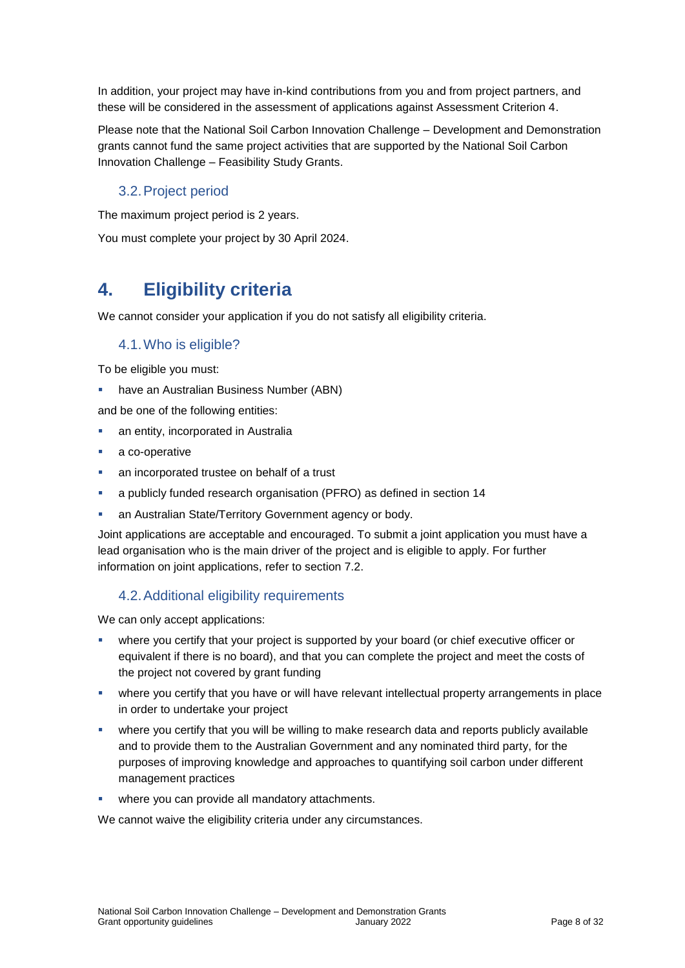In addition, your project may have in-kind contributions from you and from project partners, and these will be considered in the assessment of applications against Assessment Criterion 4.

Please note that the National Soil Carbon Innovation Challenge – Development and Demonstration grants cannot fund the same project activities that are supported by the National Soil Carbon Innovation Challenge – Feasibility Study Grants.

### 3.2.Project period

The maximum project period is 2 years.

You must complete your project by 30 April 2024.

# **4. Eligibility criteria**

<span id="page-7-0"></span>We cannot consider your application if you do not satisfy all eligibility criteria.

#### 4.1.Who is eligible?

To be eligible you must:

have an Australian Business Number (ABN)

and be one of the following entities:

- an entity, incorporated in Australia
- a co-operative
- an incorporated trustee on behalf of a trust
- a publicly funded research organisation (PFRO) as defined in section [14](#page-24-0)
- **an Australian State/Territory Government agency or body.**

Joint applications are acceptable and encouraged. To submit a joint application you must have a lead organisation who is the main driver of the project and is eligible to apply. For further information on joint applications, refer to section 7.2.

#### 4.2.Additional eligibility requirements

We can only accept applications:

- where you certify that your project is supported by your board (or chief executive officer or equivalent if there is no board), and that you can complete the project and meet the costs of the project not covered by grant funding
- where you certify that you have or will have relevant intellectual property arrangements in place in order to undertake your project
- where you certify that you will be willing to make research data and reports publicly available and to provide them to the Australian Government and any nominated third party, for the purposes of improving knowledge and approaches to quantifying soil carbon under different management practices
- where you can provide all mandatory attachments.

We cannot waive the eligibility criteria under any circumstances.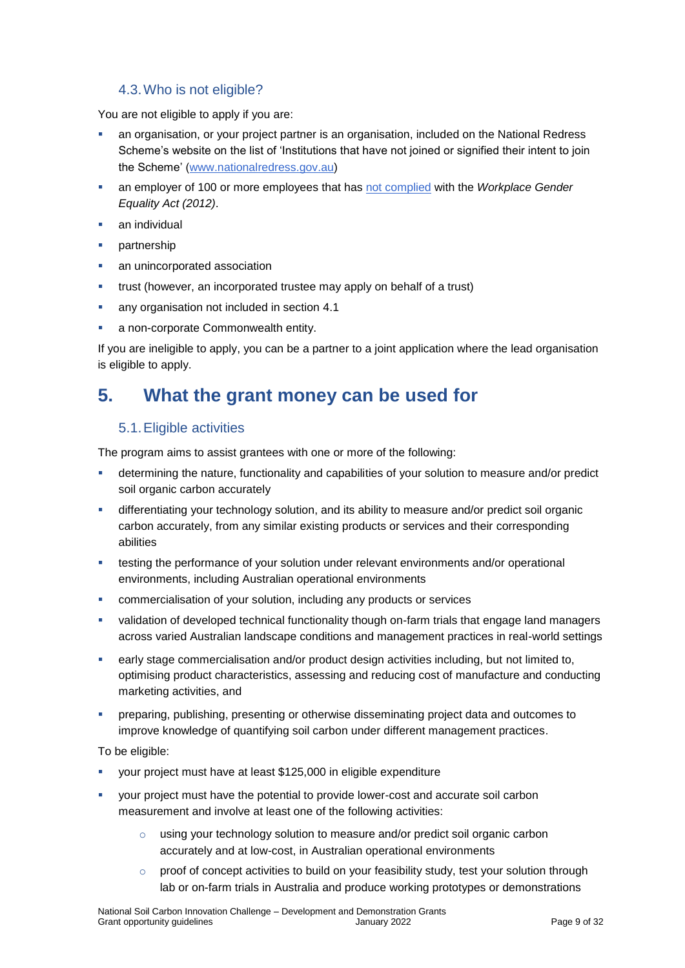#### 4.3.Who is not eligible?

You are not eligible to apply if you are:

- an organisation, or your project partner is an organisation, included on the National Redress Scheme's website on the list of 'Institutions that have not joined or signified their intent to join the Scheme' [\(www.nationalredress.gov.au\)](http://www.nationalredress.gov.au/)
- an employer of 100 or more employees that has [not complied](https://www.wgea.gov.au/what-we-do/compliance-reporting/non-compliant-list) with the *Workplace Gender Equality Act (2012)*.
- an individual
- partnership
- an unincorporated association
- trust (however, an incorporated trustee may apply on behalf of a trust)
- any organisation not included in section [4.1](#page-7-0)
- a non-corporate Commonwealth entity.

If you are ineligible to apply, you can be a partner to a joint application where the lead organisation is eligible to apply.

### **5. What the grant money can be used for**

#### <span id="page-8-0"></span>5.1.Eligible activities

The program aims to assist grantees with one or more of the following:

- determining the nature, functionality and capabilities of your solution to measure and/or predict soil organic carbon accurately
- differentiating your technology solution, and its ability to measure and/or predict soil organic carbon accurately, from any similar existing products or services and their corresponding abilities
- **EXECT** testing the performance of your solution under relevant environments and/or operational environments, including Australian operational environments
- commercialisation of your solution, including any products or services
- validation of developed technical functionality though on-farm trials that engage land managers across varied Australian landscape conditions and management practices in real-world settings
- early stage commercialisation and/or product design activities including, but not limited to, optimising product characteristics, assessing and reducing cost of manufacture and conducting marketing activities, and
- preparing, publishing, presenting or otherwise disseminating project data and outcomes to improve knowledge of quantifying soil carbon under different management practices.

To be eligible:

- your project must have at least \$125,000 in eligible expenditure
- your project must have the potential to provide lower-cost and accurate soil carbon measurement and involve at least one of the following activities:
	- o using your technology solution to measure and/or predict soil organic carbon accurately and at low-cost, in Australian operational environments
	- $\circ$  proof of concept activities to build on your feasibility study, test your solution through lab or on-farm trials in Australia and produce working prototypes or demonstrations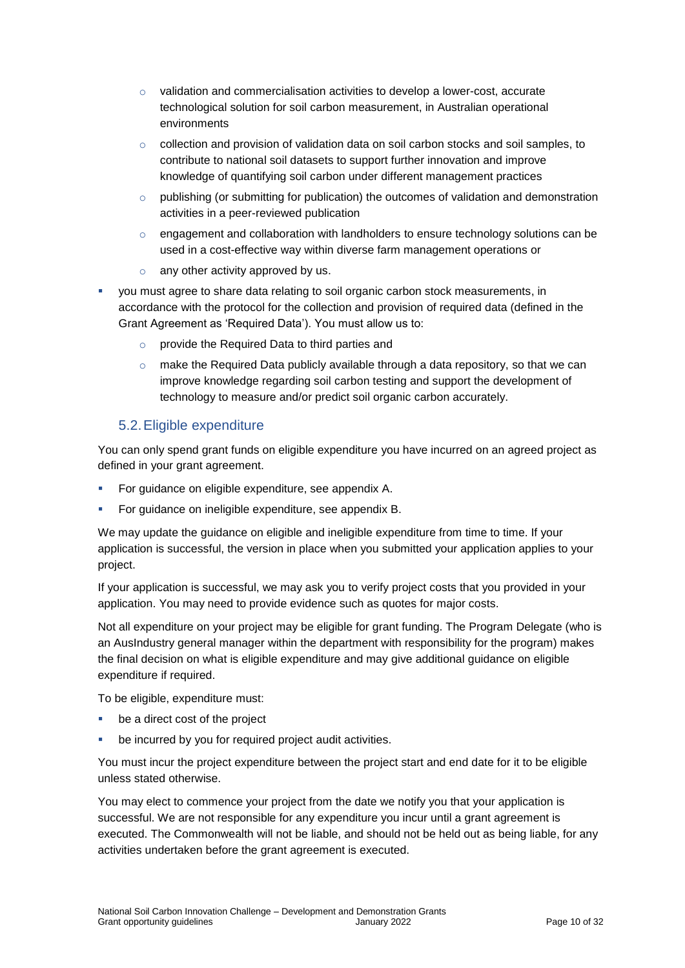- o validation and commercialisation activities to develop a lower-cost, accurate technological solution for soil carbon measurement, in Australian operational environments
- $\circ$  collection and provision of validation data on soil carbon stocks and soil samples, to contribute to national soil datasets to support further innovation and improve knowledge of quantifying soil carbon under different management practices
- $\circ$  publishing (or submitting for publication) the outcomes of validation and demonstration activities in a peer-reviewed publication
- $\circ$  engagement and collaboration with landholders to ensure technology solutions can be used in a cost-effective way within diverse farm management operations or
- $\circ$  any other activity approved by us.
- you must agree to share data relating to soil organic carbon stock measurements, in accordance with the protocol for the collection and provision of required data (defined in the Grant Agreement as 'Required Data'). You must allow us to:
	- o provide the Required Data to third parties and
	- $\circ$  make the Required Data publicly available through a data repository, so that we can improve knowledge regarding soil carbon testing and support the development of technology to measure and/or predict soil organic carbon accurately.

#### <span id="page-9-0"></span>5.2.Eligible expenditure

You can only spend grant funds on eligible expenditure you have incurred on an agreed project as defined in your grant agreement.

- For guidance on eligible expenditure, see appendix A.
- For guidance on ineligible expenditure, see appendix B.

We may update the guidance on eligible and ineligible expenditure from time to time. If your application is successful, the version in place when you submitted your application applies to your project.

If your application is successful, we may ask you to verify project costs that you provided in your application. You may need to provide evidence such as quotes for major costs.

Not all expenditure on your project may be eligible for grant funding. The Program Delegate (who is an AusIndustry general manager within the department with responsibility for the program) makes the final decision on what is eligible expenditure and may give additional guidance on eligible expenditure if required.

To be eligible, expenditure must:

- be a direct cost of the project
- be incurred by you for required project audit activities.

You must incur the project expenditure between the project start and end date for it to be eligible unless stated otherwise.

You may elect to commence your project from the date we notify you that your application is successful. We are not responsible for any expenditure you incur until a grant agreement is executed. The Commonwealth will not be liable, and should not be held out as being liable, for any activities undertaken before the grant agreement is executed.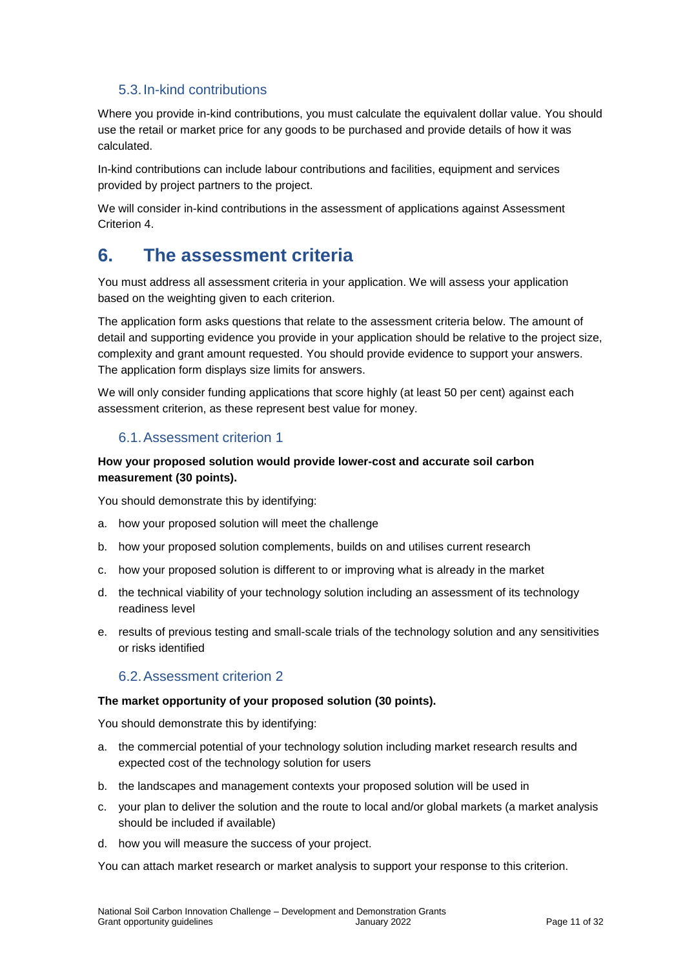#### 5.3.In-kind contributions

Where you provide in-kind contributions, you must calculate the equivalent dollar value. You should use the retail or market price for any goods to be purchased and provide details of how it was calculated.

In-kind contributions can include labour contributions and facilities, equipment and services provided by project partners to the project.

We will consider in-kind contributions in the assessment of applications against Assessment Criterion 4.

### **6. The assessment criteria**

You must address all assessment criteria in your application. We will assess your application based on the weighting given to each criterion.

The application form asks questions that relate to the assessment criteria below. The amount of detail and supporting evidence you provide in your application should be relative to the project size, complexity and grant amount requested. You should provide evidence to support your answers. The application form displays size limits for answers.

We will only consider funding applications that score highly (at least 50 per cent) against each assessment criterion, as these represent best value for money.

### 6.1.Assessment criterion 1

#### **How your proposed solution would provide lower-cost and accurate soil carbon measurement (30 points).**

You should demonstrate this by identifying:

- a. how your proposed solution will meet the challenge
- b. how your proposed solution complements, builds on and utilises current research
- c. how your proposed solution is different to or improving what is already in the market
- d. the technical viability of your technology solution including an assessment of its technology readiness level
- e. results of previous testing and small-scale trials of the technology solution and any sensitivities or risks identified

#### 6.2.Assessment criterion 2

#### **The market opportunity of your proposed solution (30 points).**

You should demonstrate this by identifying:

- a. the commercial potential of your technology solution including market research results and expected cost of the technology solution for users
- b. the landscapes and management contexts your proposed solution will be used in
- c. your plan to deliver the solution and the route to local and/or global markets (a market analysis should be included if available)
- d. how you will measure the success of your project.

You can attach market research or market analysis to support your response to this criterion.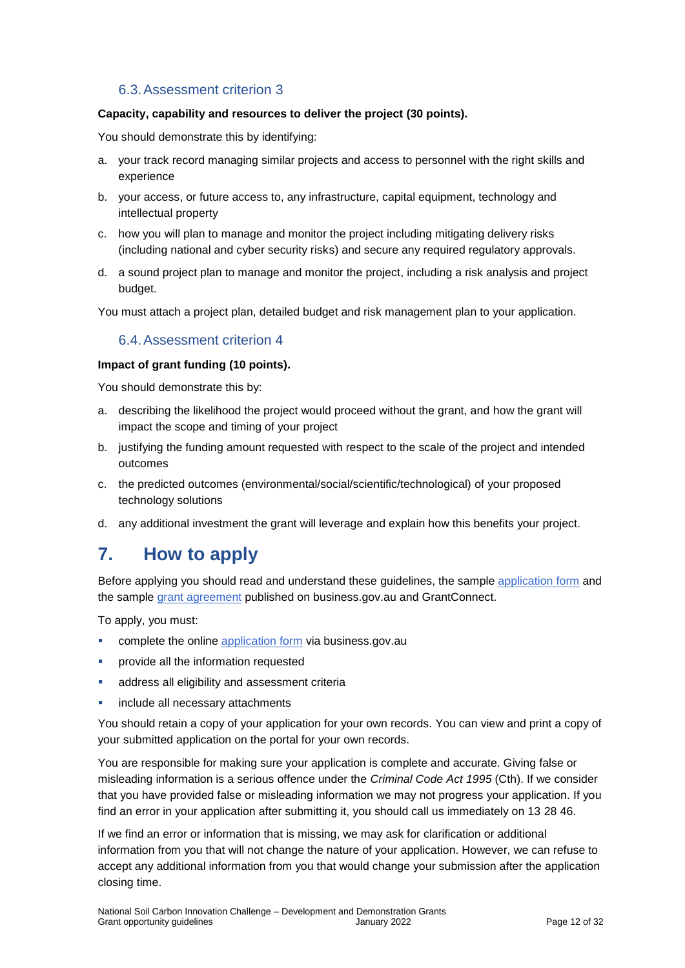### 6.3.Assessment criterion 3

#### **Capacity, capability and resources to deliver the project (30 points).**

You should demonstrate this by identifying:

- a. your track record managing similar projects and access to personnel with the right skills and experience
- b. your access, or future access to, any infrastructure, capital equipment, technology and intellectual property
- c. how you will plan to manage and monitor the project including mitigating delivery risks (including national and cyber security risks) and secure any required regulatory approvals.
- d. a sound project plan to manage and monitor the project, including a risk analysis and project budget.

You must attach a project plan, detailed budget and risk management plan to your application.

#### 6.4.Assessment criterion 4

#### **Impact of grant funding (10 points).**

You should demonstrate this by:

- a. describing the likelihood the project would proceed without the grant, and how the grant will impact the scope and timing of your project
- b. justifying the funding amount requested with respect to the scale of the project and intended outcomes
- c. the predicted outcomes (environmental/social/scientific/technological) of your proposed technology solutions
- d. any additional investment the grant will leverage and explain how this benefits your project.

### **7. How to apply**

Before applying you should read and understand these guidelines, the sample [application form](https://business.gov.au/grants-and-programs/national-soil-carbon-innovation-challenge-development-and-demonstration#key-documents) and the sample [grant agreement](https://business.gov.au/grants-and-programs/national-soil-carbon-innovation-challenge-development-and-demonstration#key-documents) published on business.gov.au and GrantConnect.

To apply, you must:

- complete the online [application form](https://business.gov.au/grants-and-programs/national-soil-carbon-innovation-challenge-development-and-demonstration) via business.gov.au
- provide all the information requested
- **address all eligibility and assessment criteria**
- include all necessary attachments

You should retain a copy of your application for your own records. You can view and print a copy of your submitted application on the portal for your own records.

You are responsible for making sure your application is complete and accurate. Giving false or misleading information is a serious offence under the *Criminal Code Act 1995* (Cth). If we consider that you have provided false or misleading information we may not progress your application. If you find an error in your application after submitting it, you should call us immediately on 13 28 46.

If we find an error or information that is missing, we may ask for clarification or additional information from you that will not change the nature of your application. However, we can refuse to accept any additional information from you that would change your submission after the application closing time.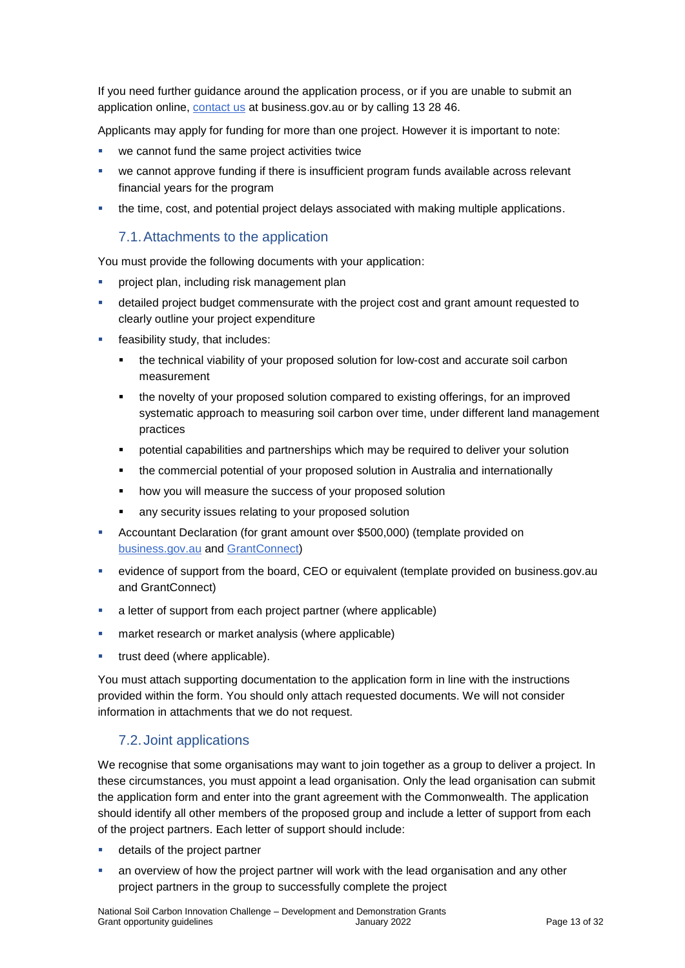If you need further guidance around the application process, or if you are unable to submit an application online, [contact us](https://www.business.gov.au/contact-us) at business.gov.au or by calling 13 28 46.

Applicants may apply for funding for more than one project. However it is important to note:

- we cannot fund the same project activities twice
- we cannot approve funding if there is insufficient program funds available across relevant financial years for the program
- the time, cost, and potential project delays associated with making multiple applications.

#### 7.1.Attachments to the application

You must provide the following documents with your application:

- **•** project plan, including risk management plan
- detailed project budget commensurate with the project cost and grant amount requested to clearly outline your project expenditure
- **feasibility study, that includes:** 
	- the technical viability of your proposed solution for low-cost and accurate soil carbon measurement
	- the novelty of your proposed solution compared to existing offerings, for an improved systematic approach to measuring soil carbon over time, under different land management practices
	- potential capabilities and partnerships which may be required to deliver your solution
	- the commercial potential of your proposed solution in Australia and internationally
	- how you will measure the success of your proposed solution
	- any security issues relating to your proposed solution
- Accountant Declaration (for grant amount over \$500,000) (template provided on [business.gov.au](https://business.gov.au/grants-and-programs/national-soil-carbon-innovation-challenge-development-and-demonstration#key-documents) and [GrantConnect\)](http://www.grants.gov.au/)
- evidence of support from the board, CEO or equivalent (template provided on business.gov.au and GrantConnect)
- a letter of support from each project partner (where applicable)
- **EXECT** market research or market analysis (where applicable)
- trust deed (where applicable).

You must attach supporting documentation to the application form in line with the instructions provided within the form. You should only attach requested documents. We will not consider information in attachments that we do not request.

#### 7.2.Joint applications

We recognise that some organisations may want to join together as a group to deliver a project. In these circumstances, you must appoint a lead organisation. Only the lead organisation can submit the application form and enter into the grant agreement with the Commonwealth. The application should identify all other members of the proposed group and include a letter of support from each of the project partners. Each letter of support should include:

- **details of the project partner**
- an overview of how the project partner will work with the lead organisation and any other project partners in the group to successfully complete the project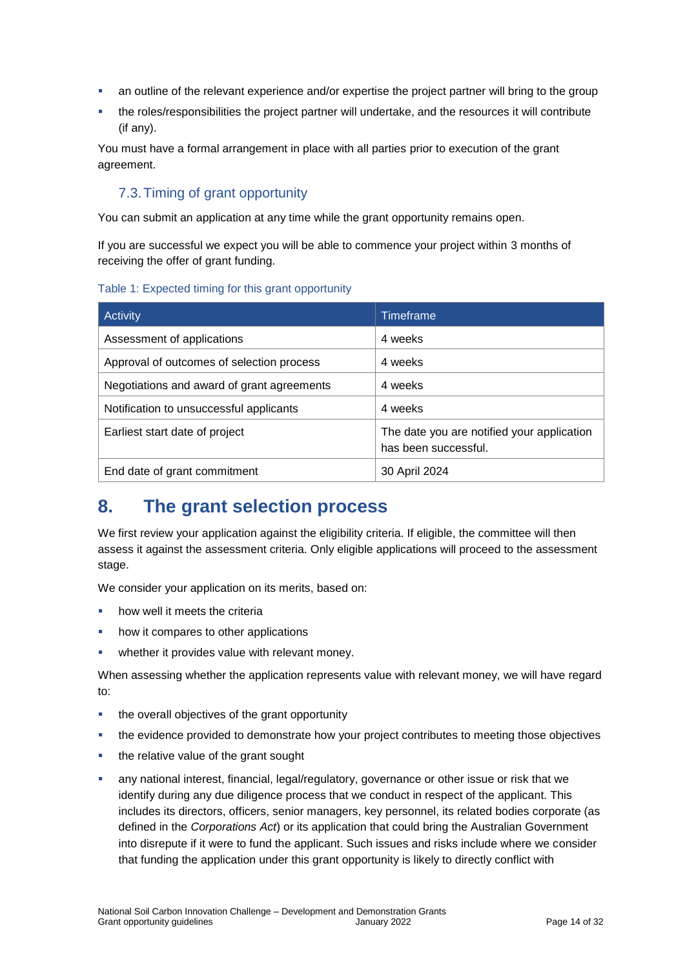- an outline of the relevant experience and/or expertise the project partner will bring to the group
- the roles/responsibilities the project partner will undertake, and the resources it will contribute (if any).

You must have a formal arrangement in place with all parties prior to execution of the grant agreement.

### 7.3.Timing of grant opportunity

You can submit an application at any time while the grant opportunity remains open.

If you are successful we expect you will be able to commence your project within 3 months of receiving the offer of grant funding.

#### Table 1: Expected timing for this grant opportunity

| Activity                                   | Timeframe                                                          |
|--------------------------------------------|--------------------------------------------------------------------|
| Assessment of applications                 | 4 weeks                                                            |
| Approval of outcomes of selection process  | 4 weeks                                                            |
| Negotiations and award of grant agreements | 4 weeks                                                            |
| Notification to unsuccessful applicants    | 4 weeks                                                            |
| Earliest start date of project             | The date you are notified your application<br>has been successful. |
| End date of grant commitment               | 30 April 2024                                                      |

# **8. The grant selection process**

We first review your application against the eligibility criteria. If eligible, the committee will then assess it against the assessment criteria. Only eligible applications will proceed to the assessment stage.

We consider your application on its merits, based on:

- how well it meets the criteria
- how it compares to other applications
- **•** whether it provides value with relevant money.

When assessing whether the application represents value with relevant money, we will have regard to:

- the overall objectives of the grant opportunity
- the evidence provided to demonstrate how your project contributes to meeting those objectives
- the relative value of the grant sought
- any national interest, financial, legal/regulatory, governance or other issue or risk that we identify during any due diligence process that we conduct in respect of the applicant. This includes its directors, officers, senior managers, key personnel, its related bodies corporate (as defined in the *Corporations Act*) or its application that could bring the Australian Government into disrepute if it were to fund the applicant. Such issues and risks include where we consider that funding the application under this grant opportunity is likely to directly conflict with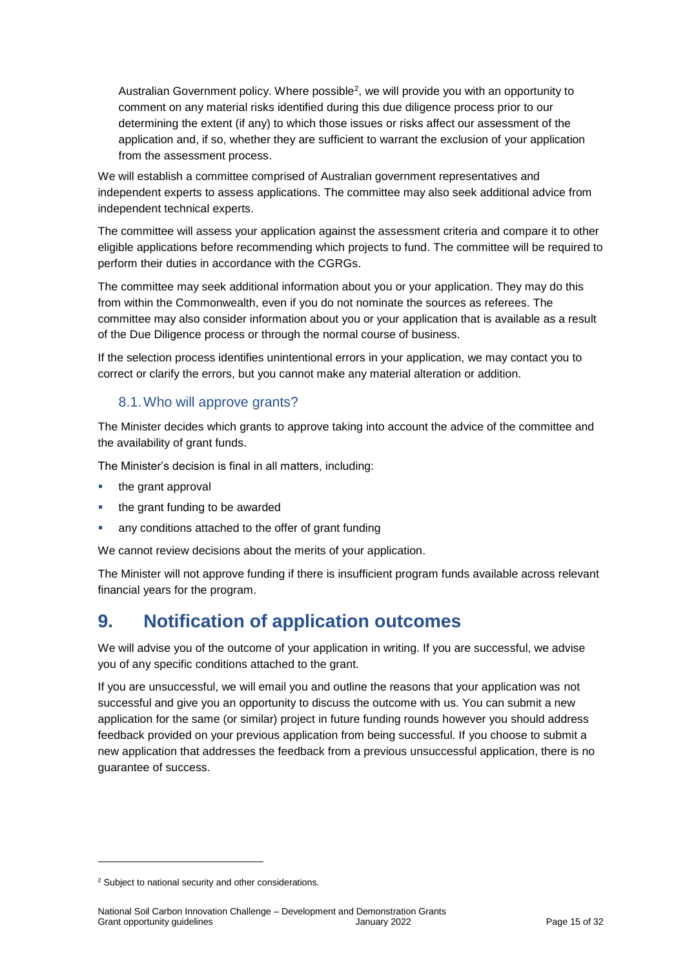Australian Government policy. Where possible<sup>2</sup>, we will provide you with an opportunity to comment on any material risks identified during this due diligence process prior to our determining the extent (if any) to which those issues or risks affect our assessment of the application and, if so, whether they are sufficient to warrant the exclusion of your application from the assessment process.

We will establish a committee comprised of Australian government representatives and independent experts to assess applications. The committee may also seek additional advice from independent technical experts.

The committee will assess your application against the assessment criteria and compare it to other eligible applications before recommending which projects to fund. The committee will be required to perform their duties in accordance with the CGRGs.

The committee may seek additional information about you or your application. They may do this from within the Commonwealth, even if you do not nominate the sources as referees. The committee may also consider information about you or your application that is available as a result of the Due Diligence process or through the normal course of business.

If the selection process identifies unintentional errors in your application, we may contact you to correct or clarify the errors, but you cannot make any material alteration or addition.

### 8.1.Who will approve grants?

The Minister decides which grants to approve taking into account the advice of the committee and the availability of grant funds.

The Minister's decision is final in all matters, including:

- the grant approval
- the grant funding to be awarded
- any conditions attached to the offer of grant funding

We cannot review decisions about the merits of your application.

The Minister will not approve funding if there is insufficient program funds available across relevant financial years for the program.

# **9. Notification of application outcomes**

We will advise you of the outcome of your application in writing. If you are successful, we advise you of any specific conditions attached to the grant.

If you are unsuccessful, we will email you and outline the reasons that your application was not successful and give you an opportunity to discuss the outcome with us. You can submit a new application for the same (or similar) project in future funding rounds however you should address feedback provided on your previous application from being successful. If you choose to submit a new application that addresses the feedback from a previous unsuccessful application, there is no guarantee of success.

1

<sup>&</sup>lt;sup>2</sup> Subject to national security and other considerations.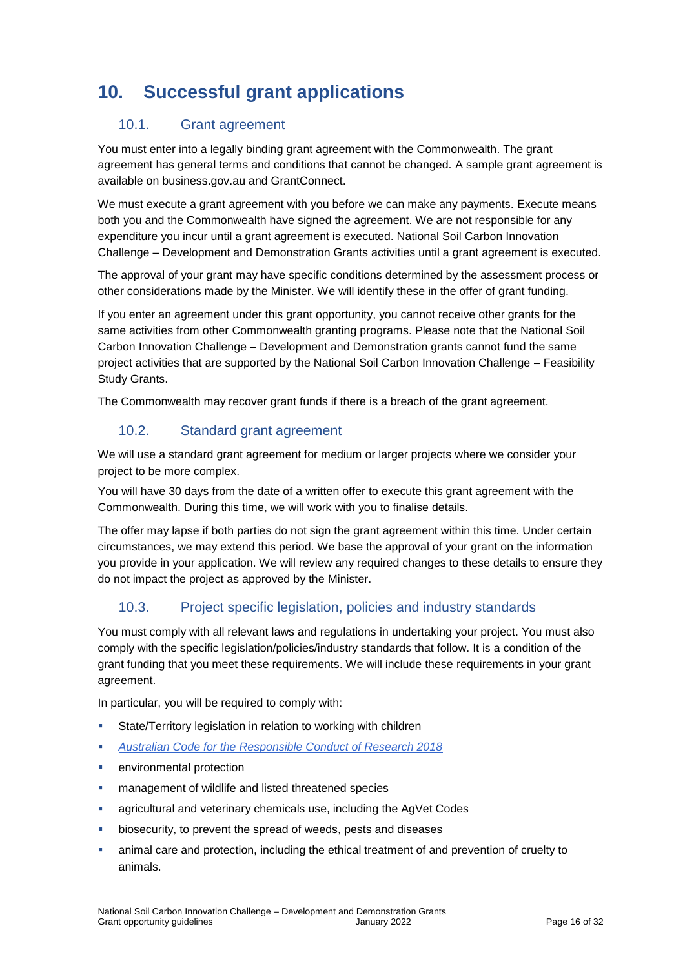# **10. Successful grant applications**

### 10.1. Grant agreement

You must enter into a legally binding grant agreement with the Commonwealth. The grant agreement has general terms and conditions that cannot be changed. A sample grant agreement is available on business.gov.au and GrantConnect.

We must execute a grant agreement with you before we can make any payments. Execute means both you and the Commonwealth have signed the agreement. We are not responsible for any expenditure you incur until a grant agreement is executed. National Soil Carbon Innovation Challenge – Development and Demonstration Grants activities until a grant agreement is executed.

The approval of your grant may have specific conditions determined by the assessment process or other considerations made by the Minister. We will identify these in the offer of grant funding.

If you enter an agreement under this grant opportunity, you cannot receive other grants for the same activities from other Commonwealth granting programs. Please note that the National Soil Carbon Innovation Challenge – Development and Demonstration grants cannot fund the same project activities that are supported by the National Soil Carbon Innovation Challenge – Feasibility Study Grants.

The Commonwealth may recover grant funds if there is a breach of the grant agreement.

### 10.2. Standard grant agreement

We will use a standard grant agreement for medium or larger projects where we consider your project to be more complex.

You will have 30 days from the date of a written offer to execute this grant agreement with the Commonwealth. During this time, we will work with you to finalise details.

The offer may lapse if both parties do not sign the grant agreement within this time. Under certain circumstances, we may extend this period. We base the approval of your grant on the information you provide in your application. We will review any required changes to these details to ensure they do not impact the project as approved by the Minister.

### 10.3. Project specific legislation, policies and industry standards

You must comply with all relevant laws and regulations in undertaking your project. You must also comply with the specific legislation/policies/industry standards that follow. It is a condition of the grant funding that you meet these requirements. We will include these requirements in your grant agreement.

In particular, you will be required to comply with:

- State/Territory legislation in relation to working with children
- *[Australian Code for the Responsible Conduct of Research 2018](file:///C:/Users/ilambiris/AppData/Local/Microsoft/Windows/INetCache/IE/R78HAWX7/the-australian-code-for-the-responsible-conduct-of-research-2018.pdf)*
- **EXECUTE:** environmental protection
- management of wildlife and listed threatened species
- **EXEDENT** agricultural and veterinary chemicals use, including the AgVet Codes
- biosecurity, to prevent the spread of weeds, pests and diseases
- animal care and protection, including the ethical treatment of and prevention of cruelty to animals.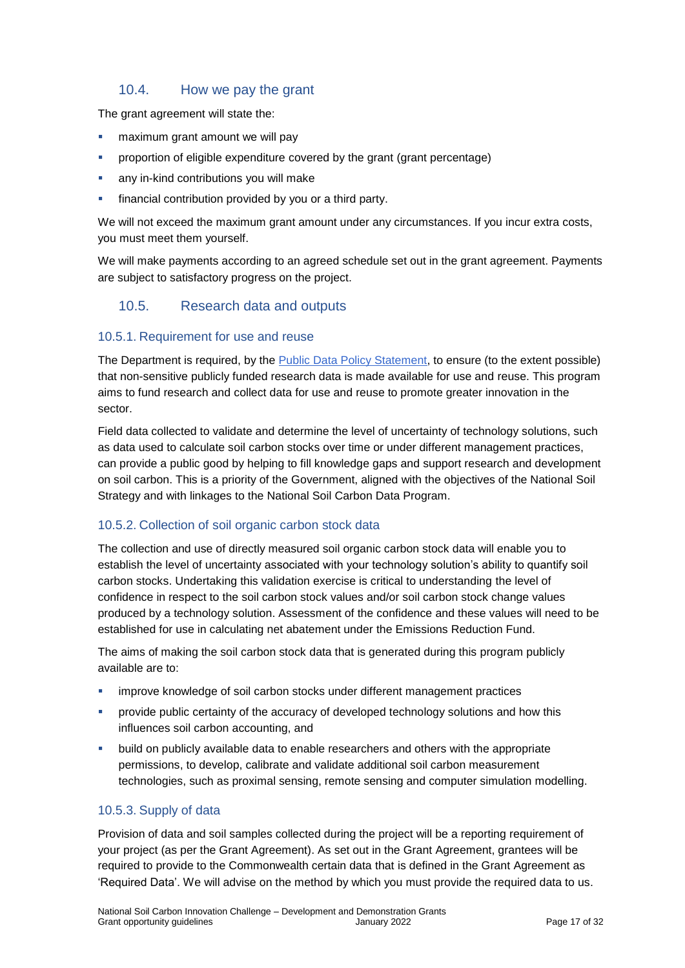#### 10.4. How we pay the grant

The grant agreement will state the:

- maximum grant amount we will pay
- proportion of eligible expenditure covered by the grant (grant percentage)
- any in-kind contributions you will make
- financial contribution provided by you or a third party.

We will not exceed the maximum grant amount under any circumstances. If you incur extra costs, you must meet them yourself.

We will make payments according to an agreed schedule set out in the grant agreement. Payments are subject to satisfactory progress on the project.

#### 10.5. Research data and outputs

#### 10.5.1. Requirement for use and reuse

The Department is required, by the [Public Data Policy Statement,](https://www.pmc.gov.au/public-data/public-data-policy) to ensure (to the extent possible) that non-sensitive publicly funded research data is made available for use and reuse. This program aims to fund research and collect data for use and reuse to promote greater innovation in the sector.

Field data collected to validate and determine the level of uncertainty of technology solutions, such as data used to calculate soil carbon stocks over time or under different management practices, can provide a public good by helping to fill knowledge gaps and support research and development on soil carbon. This is a priority of the Government, aligned with the objectives of the National Soil Strategy and with linkages to the National Soil Carbon Data Program.

#### 10.5.2. Collection of soil organic carbon stock data

The collection and use of directly measured soil organic carbon stock data will enable you to establish the level of uncertainty associated with your technology solution's ability to quantify soil carbon stocks. Undertaking this validation exercise is critical to understanding the level of confidence in respect to the soil carbon stock values and/or soil carbon stock change values produced by a technology solution. Assessment of the confidence and these values will need to be established for use in calculating net abatement under the Emissions Reduction Fund.

The aims of making the soil carbon stock data that is generated during this program publicly available are to:

- improve knowledge of soil carbon stocks under different management practices
- **Provide public certainty of the accuracy of developed technology solutions and how this** influences soil carbon accounting, and
- build on publicly available data to enable researchers and others with the appropriate permissions, to develop, calibrate and validate additional soil carbon measurement technologies, such as proximal sensing, remote sensing and computer simulation modelling.

#### 10.5.3. Supply of data

Provision of data and soil samples collected during the project will be a reporting requirement of your project (as per the Grant Agreement). As set out in the Grant Agreement, grantees will be required to provide to the Commonwealth certain data that is defined in the Grant Agreement as 'Required Data'. We will advise on the method by which you must provide the required data to us.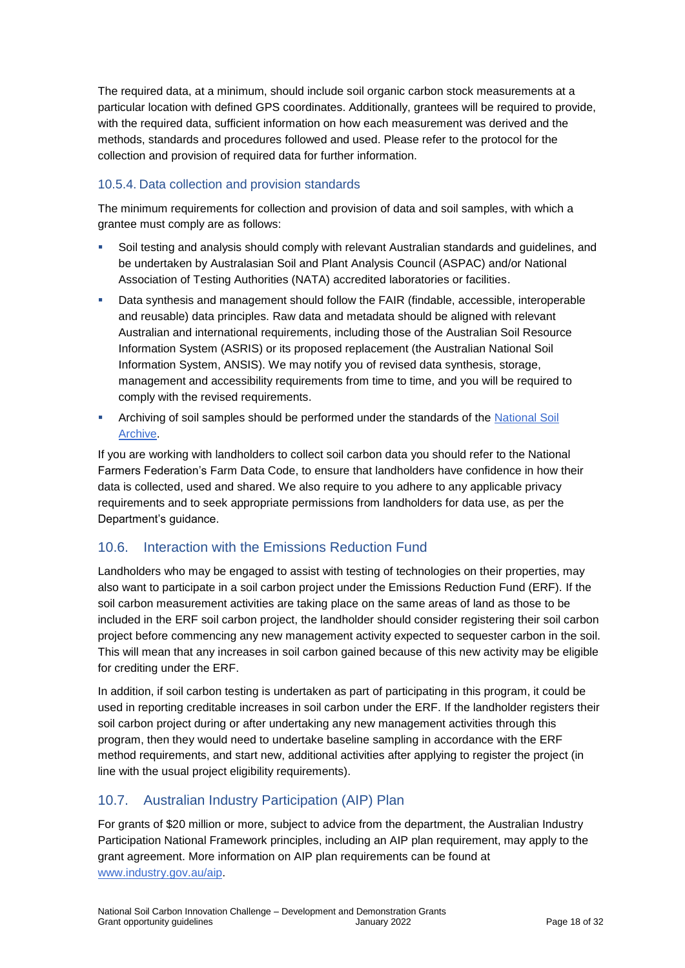The required data, at a minimum, should include soil organic carbon stock measurements at a particular location with defined GPS coordinates. Additionally, grantees will be required to provide, with the required data, sufficient information on how each measurement was derived and the methods, standards and procedures followed and used. Please refer to the protocol for the collection and provision of required data for further information.

### 10.5.4. Data collection and provision standards

The minimum requirements for collection and provision of data and soil samples, with which a grantee must comply are as follows:

- Soil testing and analysis should comply with relevant Australian standards and guidelines, and be undertaken by Australasian Soil and Plant Analysis Council (ASPAC) and/or National Association of Testing Authorities (NATA) accredited laboratories or facilities.
- Data synthesis and management should follow the FAIR (findable, accessible, interoperable and reusable) data principles. Raw data and metadata should be aligned with relevant Australian and international requirements, including those of the Australian Soil Resource Information System (ASRIS) or its proposed replacement (the Australian National Soil Information System, ANSIS). We may notify you of revised data synthesis, storage, management and accessibility requirements from time to time, and you will be required to comply with the revised requirements.
- **Archiving of soil samples should be performed under the standards of the National Soil** [Archive.](https://www.clw.csiro.au/aclep/archive/index.htm#archive_use)

If you are working with landholders to collect soil carbon data you should refer to the National Farmers Federation's [Farm Data Code,](https://nff.org.au/wp-content/uploads/2020/02/Farm_Data_Code_Edition_1_WEB_FINAL.pdf) to ensure that landholders have confidence in how their data is collected, used and shared. We also require to you adhere to any applicable privacy requirements and to seek appropriate permissions from landholders for data use, as per the Department's guidance.

### 10.6. Interaction with the Emissions Reduction Fund

Landholders who may be engaged to assist with testing of technologies on their properties, may also want to participate in a soil carbon project under the Emissions Reduction Fund (ERF). If the soil carbon measurement activities are taking place on the same areas of land as those to be included in the ERF soil carbon project, the landholder should consider registering their soil carbon project before commencing any new management activity expected to sequester carbon in the soil. This will mean that any increases in soil carbon gained because of this new activity may be eligible for crediting under the ERF.

In addition, if soil carbon testing is undertaken as part of participating in this program, it could be used in reporting creditable increases in soil carbon under the ERF. If the landholder registers their soil carbon project during or after undertaking any new management activities through this program, then they would need to undertake baseline sampling in accordance with the ERF method requirements, and start new, additional activities after applying to register the project (in line with the usual project eligibility requirements).

### 10.7. Australian Industry Participation (AIP) Plan

For grants of \$20 million or more, subject to advice from the department, the Australian Industry Participation National Framework principles, including an AIP plan requirement, may apply to the grant agreement. More information on AIP plan requirements can be found at [www.industry.gov.au/aip.](http://www.industry.gov.au/aip)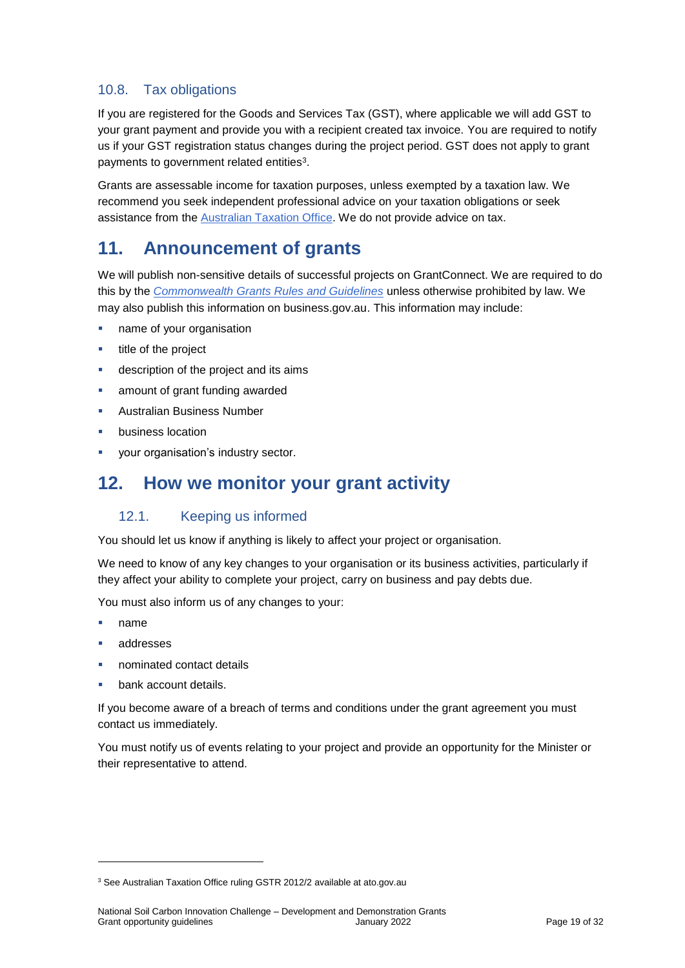### 10.8. Tax obligations

If you are registered for the Goods and Services Tax (GST), where applicable we will add GST to your grant payment and provide you with a recipient created tax invoice. You are required to notify us if your GST registration status changes during the project period. GST does not apply to grant payments to government related entities<sup>3</sup>.

Grants are assessable income for taxation purposes, unless exempted by a taxation law. We recommend you seek independent professional advice on your taxation obligations or seek assistance from the [Australian Taxation Office.](https://www.ato.gov.au/) We do not provide advice on tax.

# **11. Announcement of grants**

We will publish non-sensitive details of successful projects on GrantConnect. We are required to do this by the *[Commonwealth Grants Rules and Guidelines](https://www.finance.gov.au/government/commonwealth-grants/commonwealth-grants-rules-guidelines)* unless otherwise prohibited by law. We may also publish this information on business.gov.au. This information may include:

- name of your organisation
- **title of the project**
- description of the project and its aims
- amount of grant funding awarded
- Australian Business Number
- business location
- your organisation's industry sector.

# **12. How we monitor your grant activity**

#### 12.1. Keeping us informed

You should let us know if anything is likely to affect your project or organisation.

We need to know of any key changes to your organisation or its business activities, particularly if they affect your ability to complete your project, carry on business and pay debts due.

You must also inform us of any changes to your:

name

1

- addresses
- nominated contact details
- bank account details.

If you become aware of a breach of terms and conditions under the grant agreement you must contact us immediately.

You must notify us of events relating to your project and provide an opportunity for the Minister or their representative to attend.

<sup>&</sup>lt;sup>3</sup> See Australian Taxation Office ruling GSTR 2012/2 available at ato.gov.au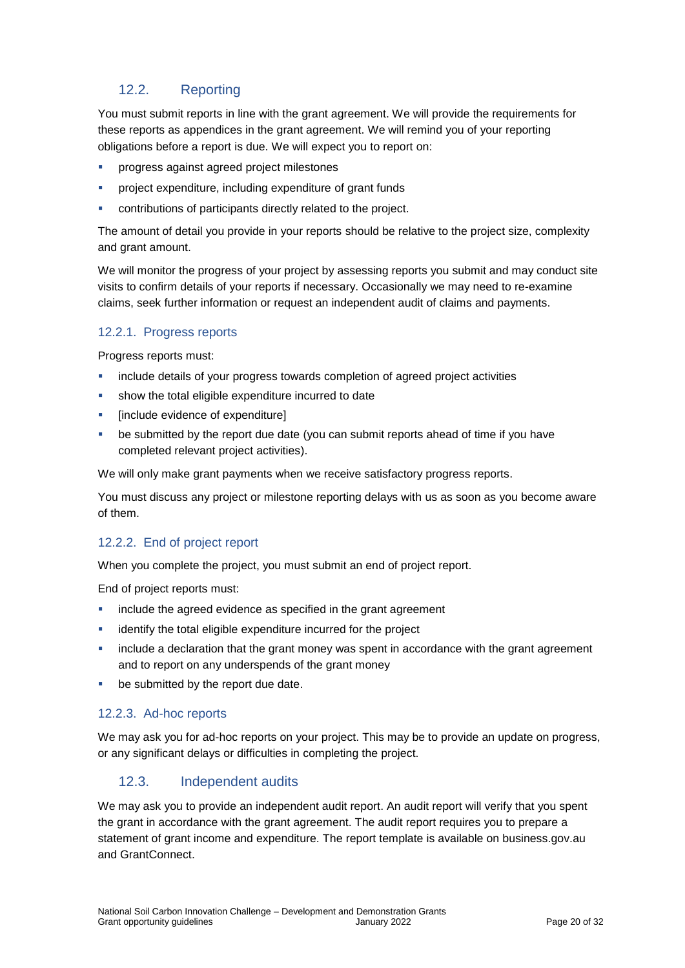### 12.2. Reporting

You must submit reports in line with the [grant agreement.](file://///prod.protected.ind/User/user03/LLau2/insert%20link%20here) We will provide the requirements for these reports as appendices in the grant agreement. We will remind you of your reporting obligations before a report is due. We will expect you to report on:

- progress against agreed project milestones
- project expenditure, including expenditure of grant funds
- contributions of participants directly related to the project.

The amount of detail you provide in your reports should be relative to the project size, complexity and grant amount.

We will monitor the progress of your project by assessing reports you submit and may conduct site visits to confirm details of your reports if necessary. Occasionally we may need to re-examine claims, seek further information or request an independent audit of claims and payments.

#### 12.2.1. Progress reports

Progress reports must:

- include details of your progress towards completion of agreed project activities
- **show the total eligible expenditure incurred to date**
- **EXPLOM** [include evidence of expenditure]
- be submitted by the report due date (you can submit reports ahead of time if you have completed relevant project activities).

We will only make grant payments when we receive satisfactory progress reports.

You must discuss any project or milestone reporting delays with us as soon as you become aware of them.

### 12.2.2. End of project report

When you complete the project, you must submit an end of project report.

End of project reports must:

- **EXEDENT** include the agreed evidence as specified in the grant agreement
- identify the total eligible expenditure incurred for the project
- include a declaration that the grant money was spent in accordance with the grant agreement and to report on any underspends of the grant money
- be submitted by the report due date.

#### 12.2.3. Ad-hoc reports

We may ask you for ad-hoc reports on your project. This may be to provide an update on progress, or any significant delays or difficulties in completing the project.

#### 12.3. Independent audits

We may ask you to provide an independent audit report. An audit report will verify that you spent the grant in accordance with the grant agreement. The audit report requires you to prepare a statement of grant income and expenditure. The report template is available on business.gov.au and GrantConnect.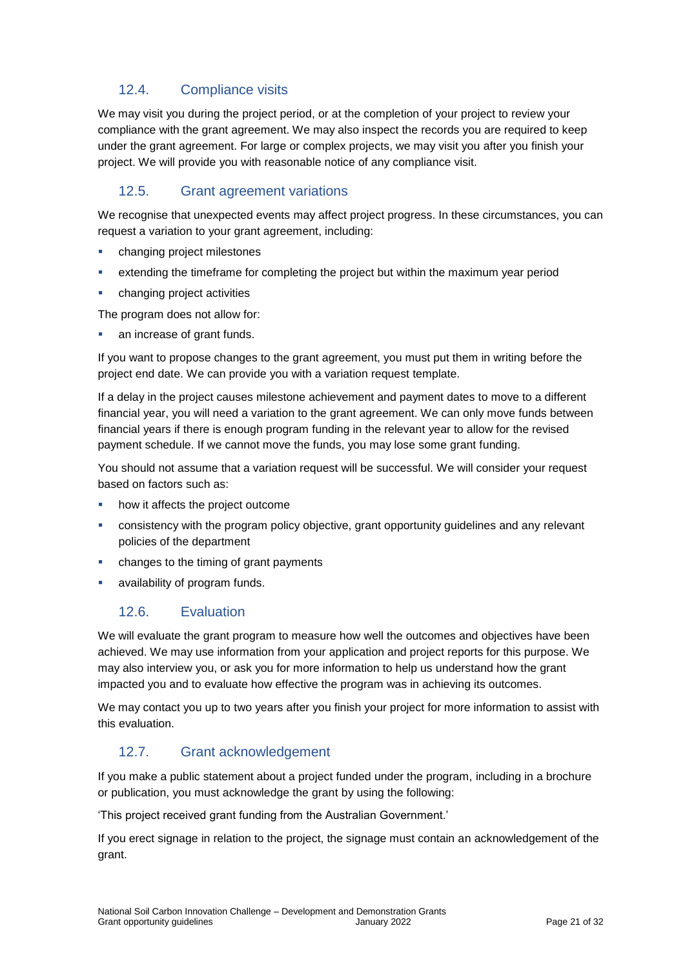### 12.4. Compliance visits

We may visit you during the project period, or at the completion of your project to review your compliance with the grant agreement. We may also inspect the records you are required to keep under the grant agreement. For large or complex projects, we may visit you after you finish your project. We will provide you with reasonable notice of any compliance visit.

### 12.5. Grant agreement variations

We recognise that unexpected events may affect project progress. In these circumstances, you can request a variation to your grant agreement, including:

- changing project milestones
- extending the timeframe for completing the project but within the maximum year period
- changing project activities

The program does not allow for:

**an increase of grant funds.** 

If you want to propose changes to the grant agreement, you must put them in writing before the project end date. We can provide you with a variation request template.

If a delay in the project causes milestone achievement and payment dates to move to a different financial year, you will need a variation to the grant agreement. We can only move funds between financial years if there is enough program funding in the relevant year to allow for the revised payment schedule. If we cannot move the funds, you may lose some grant funding.

You should not assume that a variation request will be successful. We will consider your request based on factors such as:

- how it affects the project outcome
- consistency with the program policy objective, grant opportunity guidelines and any relevant policies of the department
- changes to the timing of grant payments
- **a** availability of program funds.

### 12.6. Evaluation

We will evaluate the grant program to measure how well the outcomes and objectives have been achieved. We may use information from your application and project reports for this purpose. We may also interview you, or ask you for more information to help us understand how the grant impacted you and to evaluate how effective the program was in achieving its outcomes.

We may contact you up to two years after you finish your project for more information to assist with this evaluation.

### 12.7. Grant acknowledgement

If you make a public statement about a project funded under the program, including in a brochure or publication, you must acknowledge the grant by using the following:

'This project received grant funding from the Australian Government.'

If you erect signage in relation to the project, the signage must contain an acknowledgement of the grant.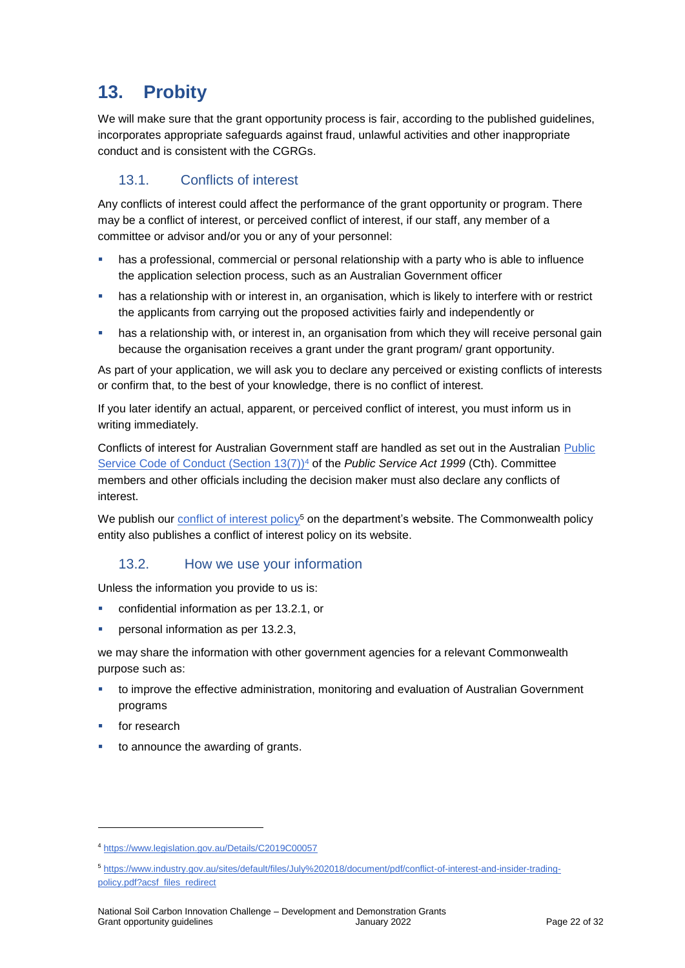# **13. Probity**

We will make sure that the grant opportunity process is fair, according to the published guidelines, incorporates appropriate safeguards against fraud, unlawful activities and other inappropriate conduct and is consistent with the CGRGs.

### 13.1. Conflicts of interest

Any conflicts of interest could affect the performance of the grant opportunity or program. There may be a [conflict of interest,](http://www.apsc.gov.au/publications-and-media/current-publications/aps-values-and-code-of-conduct-in-practice/conflict-of-interest) or perceived conflict of interest, if our staff, any member of a committee or advisor and/or you or any of your personnel:

- **has a professional, commercial or personal relationship with a party who is able to influence** the application selection process, such as an Australian Government officer
- **•** has a relationship with or interest in, an organisation, which is likely to interfere with or restrict the applicants from carrying out the proposed activities fairly and independently or
- has a relationship with, or interest in, an organisation from which they will receive personal gain because the organisation receives a grant under the grant program/ grant opportunity.

As part of your application, we will ask you to declare any perceived or existing conflicts of interests or confirm that, to the best of your knowledge, there is no conflict of interest.

If you later identify an actual, apparent, or perceived conflict of interest, you must inform us in writing immediately.

Conflicts of interest for Australian Government staff are handled as set out in the Australian [Public](https://www.legislation.gov.au/Details/C2019C00057)  [Service Code of Conduct \(Section 13\(7\)\)](https://www.legislation.gov.au/Details/C2019C00057)<sup>4</sup> of the *Public Service Act 1999* (Cth). Committee members and other officials including the decision maker must also declare any conflicts of interest.

We publish our [conflict of interest policy](https://www.industry.gov.au/sites/g/files/net3906/f/July%202018/document/pdf/conflict-of-interest-and-insider-trading-policy.pdf)<sup>5</sup> on the department's website. The Commonwealth policy entity also publishes a conflict of interest policy on its website.

#### 13.2. How we use your information

Unless the information you provide to us is:

- confidential information as per [13.2.1,](#page-22-0) or
- personal information as per [13.2.3,](#page-22-1)

we may share the information with other government agencies for a relevant Commonwealth purpose such as:

- to improve the effective administration, monitoring and evaluation of Australian Government programs
- for research

-

to announce the awarding of grants.

<sup>4</sup> https://www.legislation.gov.au/Details/C2019C00057

<sup>5</sup> [https://www.industry.gov.au/sites/default/files/July%202018/document/pdf/conflict-of-interest-and-insider-trading](https://www.industry.gov.au/sites/default/files/July%202018/document/pdf/conflict-of-interest-and-insider-trading-policy.pdf?acsf_files_redirect)[policy.pdf?acsf\\_files\\_redirect](https://www.industry.gov.au/sites/default/files/July%202018/document/pdf/conflict-of-interest-and-insider-trading-policy.pdf?acsf_files_redirect)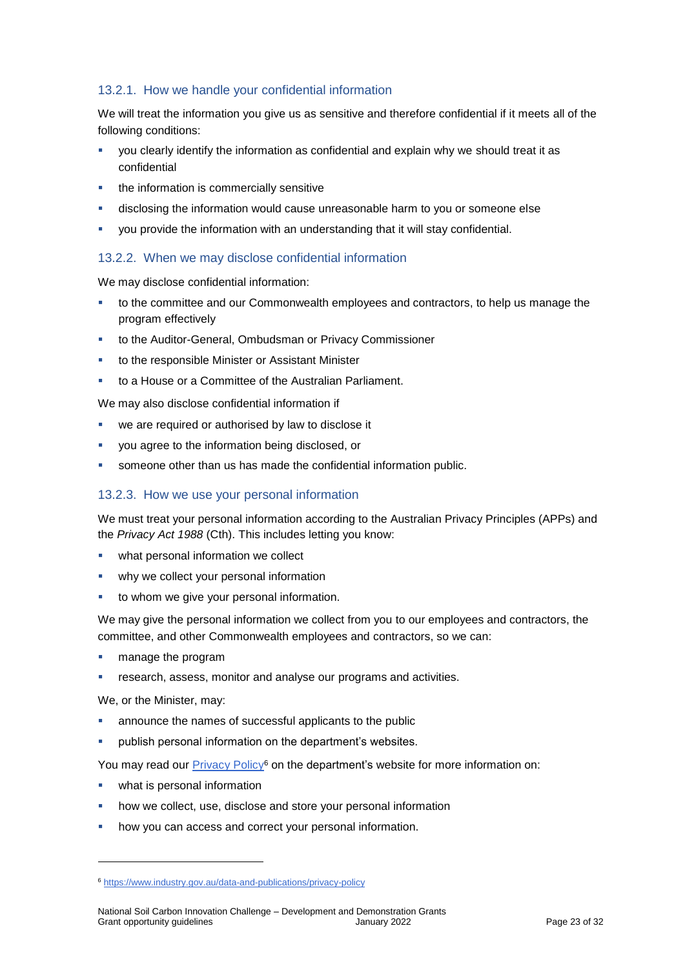#### <span id="page-22-0"></span>13.2.1. How we handle your confidential information

We will treat the information you give us as sensitive and therefore confidential if it meets all of the following conditions:

- you clearly identify the information as confidential and explain why we should treat it as confidential
- the information is commercially sensitive
- disclosing the information would cause unreasonable harm to you or someone else
- you provide the information with an understanding that it will stay confidential.

#### 13.2.2. When we may disclose confidential information

We may disclose confidential information:

- to the committee and our Commonwealth employees and contractors, to help us manage the program effectively
- to the Auditor-General, Ombudsman or Privacy Commissioner
- to the responsible Minister or Assistant Minister
- to a House or a Committee of the Australian Parliament.

We may also disclose confidential information if

- we are required or authorised by law to disclose it
- you agree to the information being disclosed, or
- someone other than us has made the confidential information public.

#### <span id="page-22-1"></span>13.2.3. How we use your personal information

We must treat your personal information according to the Australian Privacy Principles (APPs) and the *Privacy Act 1988* (Cth). This includes letting you know:

- what personal information we collect
- why we collect your personal information
- **to whom we give your personal information.**

We may give the personal information we collect from you to our employees and contractors, the committee, and other Commonwealth employees and contractors, so we can:

- manage the program
- research, assess, monitor and analyse our programs and activities.

We, or the Minister, may:

1

- announce the names of successful applicants to the public
- publish personal information on the department's websites.

You may read our [Privacy Policy](https://www.industry.gov.au/data-and-publications/privacy-policy)<sup>6</sup> on the department's website for more information on:

- **what is personal information**
- how we collect, use, disclose and store your personal information
- how you can access and correct your personal information.

<sup>6</sup> <https://www.industry.gov.au/data-and-publications/privacy-policy>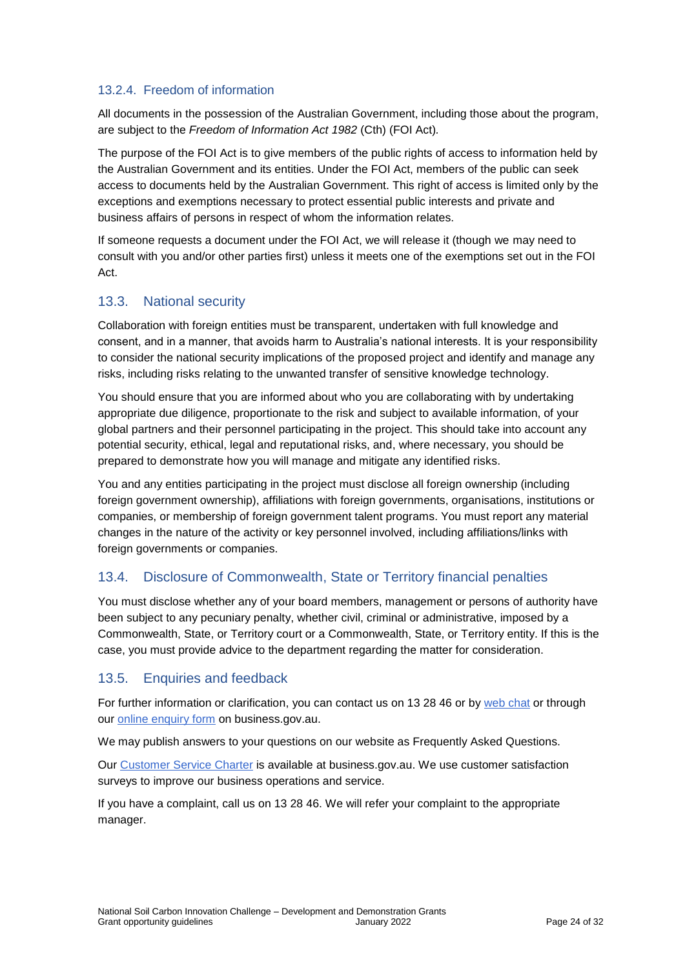#### 13.2.4. Freedom of information

All documents in the possession of the Australian Government, including those about the program, are subject to the *Freedom of Information Act 1982* (Cth) (FOI Act)*.*

The purpose of the FOI Act is to give members of the public rights of access to information held by the Australian Government and its entities. Under the FOI Act, members of the public can seek access to documents held by the Australian Government. This right of access is limited only by the exceptions and exemptions necessary to protect essential public interests and private and business affairs of persons in respect of whom the information relates.

If someone requests a document under the FOI Act, we will release it (though we may need to consult with you and/or other parties first) unless it meets one of the exemptions set out in the FOI Act.

### 13.3. National security

Collaboration with foreign entities must be transparent, undertaken with full knowledge and consent, and in a manner, that avoids harm to Australia's national interests. It is your responsibility to consider the national security implications of the proposed project and identify and manage any risks, including risks relating to the unwanted transfer of sensitive knowledge technology.

You should ensure that you are informed about who you are collaborating with by undertaking appropriate due diligence, proportionate to the risk and subject to available information, of your global partners and their personnel participating in the project. This should take into account any potential security, ethical, legal and reputational risks, and, where necessary, you should be prepared to demonstrate how you will manage and mitigate any identified risks.

You and any entities participating in the project must disclose all foreign ownership (including foreign government ownership), affiliations with foreign governments, organisations, institutions or companies, or membership of foreign government talent programs. You must report any material changes in the nature of the activity or key personnel involved, including affiliations/links with foreign governments or companies.

### 13.4. Disclosure of Commonwealth, State or Territory financial penalties

You must disclose whether any of your board members, management or persons of authority have been subject to any pecuniary penalty, whether civil, criminal or administrative, imposed by a Commonwealth, State, or Territory court or a Commonwealth, State, or Territory entity. If this is the case, you must provide advice to the department regarding the matter for consideration.

### 13.5. Enquiries and feedback

For further information or clarification, you can contact us on 13 28 46 or by [web chat](https://www.business.gov.au/contact-us) or through our [online enquiry form](http://www.business.gov.au/contact-us/Pages/default.aspx) on business.gov.au.

We may publish answers to your questions on our website as Frequently Asked Questions.

Our [Customer Service Charter](https://www.business.gov.au/about/customer-service-charter) is available at [business.gov.au.](http://www.business.gov.au/) We use customer satisfaction surveys to improve our business operations and service.

If you have a complaint, call us on 13 28 46. We will refer your complaint to the appropriate manager.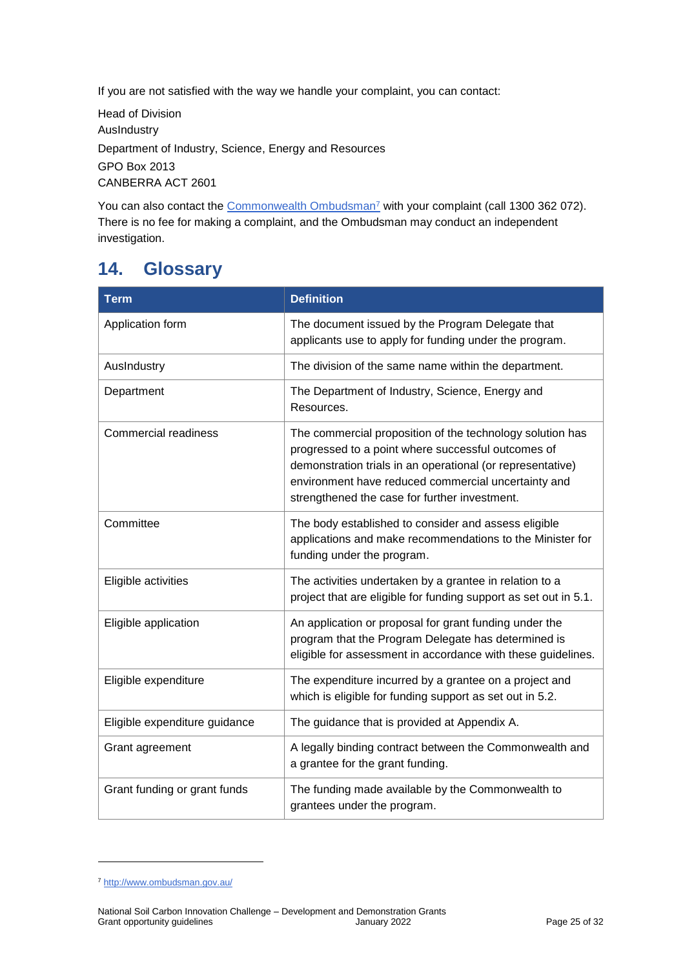If you are not satisfied with the way we handle your complaint, you can contact:

Head of Division AusIndustry Department of Industry, Science, Energy and Resources GPO Box 2013 CANBERRA ACT 2601

You can also contact the [Commonwealth Ombudsman](http://www.ombudsman.gov.au/)<sup>7</sup> with your complaint (call 1300 362 072). There is no fee for making a complaint, and the Ombudsman may conduct an independent investigation.

# <span id="page-24-0"></span>**14. Glossary**

| <b>Term</b>                   | <b>Definition</b>                                                                                                                                                                                                                                                                     |
|-------------------------------|---------------------------------------------------------------------------------------------------------------------------------------------------------------------------------------------------------------------------------------------------------------------------------------|
| Application form              | The document issued by the Program Delegate that<br>applicants use to apply for funding under the program.                                                                                                                                                                            |
| AusIndustry                   | The division of the same name within the department.                                                                                                                                                                                                                                  |
| Department                    | The Department of Industry, Science, Energy and<br>Resources.                                                                                                                                                                                                                         |
| <b>Commercial readiness</b>   | The commercial proposition of the technology solution has<br>progressed to a point where successful outcomes of<br>demonstration trials in an operational (or representative)<br>environment have reduced commercial uncertainty and<br>strengthened the case for further investment. |
| Committee                     | The body established to consider and assess eligible<br>applications and make recommendations to the Minister for<br>funding under the program.                                                                                                                                       |
| Eligible activities           | The activities undertaken by a grantee in relation to a<br>project that are eligible for funding support as set out in 5.1.                                                                                                                                                           |
| Eligible application          | An application or proposal for grant funding under the<br>program that the Program Delegate has determined is<br>eligible for assessment in accordance with these guidelines.                                                                                                         |
| Eligible expenditure          | The expenditure incurred by a grantee on a project and<br>which is eligible for funding support as set out in 5.2.                                                                                                                                                                    |
| Eligible expenditure guidance | The guidance that is provided at Appendix A.                                                                                                                                                                                                                                          |
| Grant agreement               | A legally binding contract between the Commonwealth and<br>a grantee for the grant funding.                                                                                                                                                                                           |
| Grant funding or grant funds  | The funding made available by the Commonwealth to<br>grantees under the program.                                                                                                                                                                                                      |

1

<sup>7</sup> <http://www.ombudsman.gov.au/>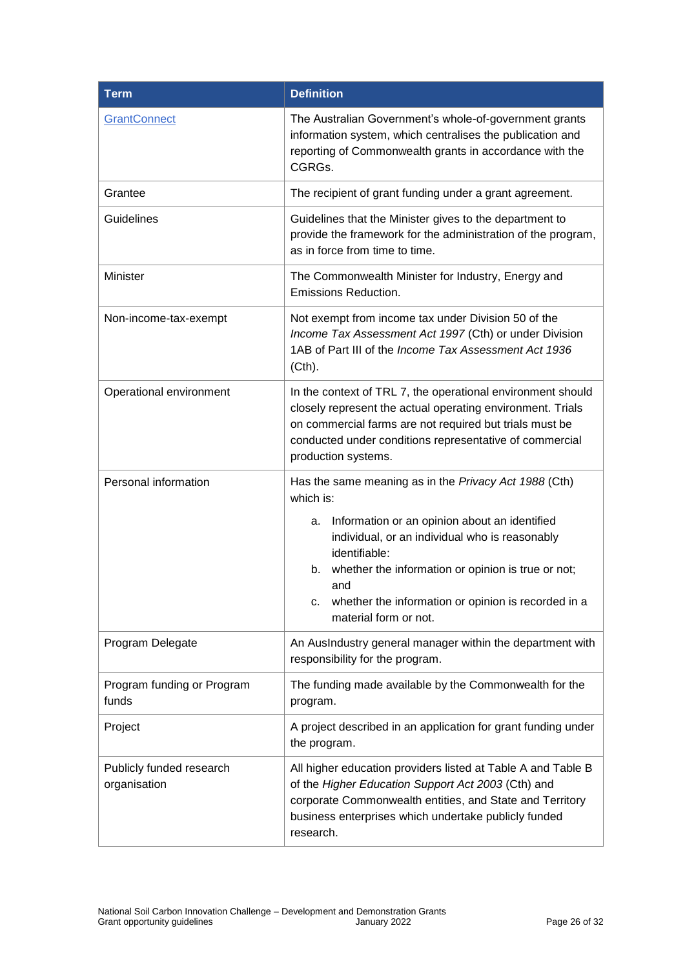| <b>Term</b>                              | <b>Definition</b>                                                                                                                                                                                                                                                      |  |  |  |
|------------------------------------------|------------------------------------------------------------------------------------------------------------------------------------------------------------------------------------------------------------------------------------------------------------------------|--|--|--|
| GrantConnect                             | The Australian Government's whole-of-government grants<br>information system, which centralises the publication and<br>reporting of Commonwealth grants in accordance with the<br>CGRGs.                                                                               |  |  |  |
| Grantee                                  | The recipient of grant funding under a grant agreement.                                                                                                                                                                                                                |  |  |  |
| Guidelines                               | Guidelines that the Minister gives to the department to<br>provide the framework for the administration of the program,<br>as in force from time to time.                                                                                                              |  |  |  |
| Minister                                 | The Commonwealth Minister for Industry, Energy and<br>Emissions Reduction.                                                                                                                                                                                             |  |  |  |
| Non-income-tax-exempt                    | Not exempt from income tax under Division 50 of the<br>Income Tax Assessment Act 1997 (Cth) or under Division<br>1AB of Part III of the Income Tax Assessment Act 1936<br>(Cth).                                                                                       |  |  |  |
| Operational environment                  | In the context of TRL 7, the operational environment should<br>closely represent the actual operating environment. Trials<br>on commercial farms are not required but trials must be<br>conducted under conditions representative of commercial<br>production systems. |  |  |  |
| Personal information                     | Has the same meaning as in the <i>Privacy Act 1988</i> (Cth)<br>which is:<br>Information or an opinion about an identified<br>а.                                                                                                                                       |  |  |  |
|                                          | individual, or an individual who is reasonably<br>identifiable:<br>whether the information or opinion is true or not;<br>b.                                                                                                                                            |  |  |  |
|                                          | and<br>whether the information or opinion is recorded in a<br>с.<br>material form or not.                                                                                                                                                                              |  |  |  |
| Program Delegate                         | An AusIndustry general manager within the department with<br>responsibility for the program.                                                                                                                                                                           |  |  |  |
| Program funding or Program<br>funds      | The funding made available by the Commonwealth for the<br>program.                                                                                                                                                                                                     |  |  |  |
| Project                                  | A project described in an application for grant funding under<br>the program.                                                                                                                                                                                          |  |  |  |
| Publicly funded research<br>organisation | All higher education providers listed at Table A and Table B<br>of the Higher Education Support Act 2003 (Cth) and<br>corporate Commonwealth entities, and State and Territory<br>business enterprises which undertake publicly funded<br>research.                    |  |  |  |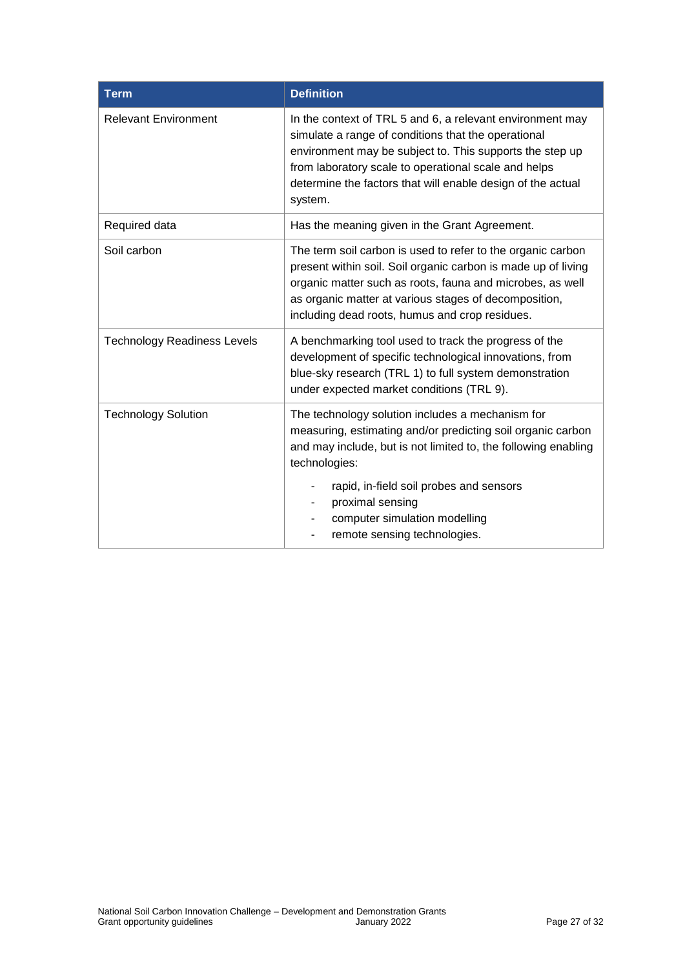| <b>Term</b>                        | <b>Definition</b>                                                                                                                                                                                                                                                                                              |  |  |
|------------------------------------|----------------------------------------------------------------------------------------------------------------------------------------------------------------------------------------------------------------------------------------------------------------------------------------------------------------|--|--|
| <b>Relevant Environment</b>        | In the context of TRL 5 and 6, a relevant environment may<br>simulate a range of conditions that the operational<br>environment may be subject to. This supports the step up<br>from laboratory scale to operational scale and helps<br>determine the factors that will enable design of the actual<br>system. |  |  |
| Required data                      | Has the meaning given in the Grant Agreement.                                                                                                                                                                                                                                                                  |  |  |
| Soil carbon                        | The term soil carbon is used to refer to the organic carbon<br>present within soil. Soil organic carbon is made up of living<br>organic matter such as roots, fauna and microbes, as well<br>as organic matter at various stages of decomposition,<br>including dead roots, humus and crop residues.           |  |  |
| <b>Technology Readiness Levels</b> | A benchmarking tool used to track the progress of the<br>development of specific technological innovations, from<br>blue-sky research (TRL 1) to full system demonstration<br>under expected market conditions (TRL 9).                                                                                        |  |  |
| <b>Technology Solution</b>         | The technology solution includes a mechanism for<br>measuring, estimating and/or predicting soil organic carbon<br>and may include, but is not limited to, the following enabling<br>technologies:                                                                                                             |  |  |
|                                    | rapid, in-field soil probes and sensors<br>proximal sensing<br>computer simulation modelling<br>remote sensing technologies.                                                                                                                                                                                   |  |  |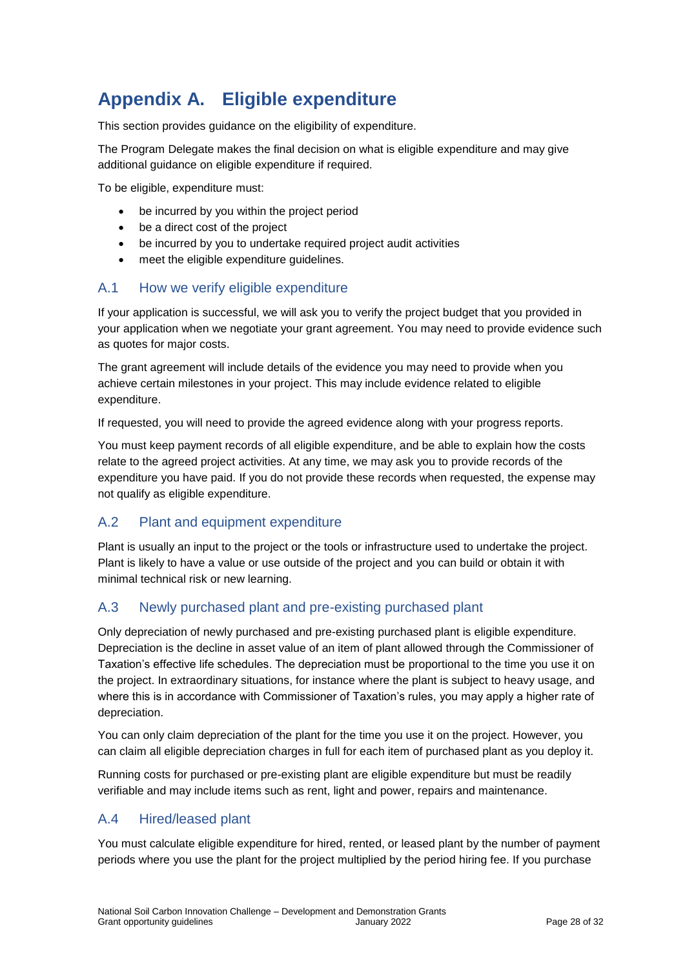# **Appendix A. Eligible expenditure**

This section provides guidance on the eligibility of expenditure.

The Program Delegate makes the final decision on what is eligible expenditure and may give additional guidance on eligible expenditure if required.

To be eligible, expenditure must:

- be incurred by you within the project period
- be a direct cost of the project
- be incurred by you to undertake required project audit activities
- meet the eligible expenditure guidelines.

### A.1 How we verify eligible expenditure

If your application is successful, we will ask you to verify the project budget that you provided in your application when we negotiate your grant agreement. You may need to provide evidence such as quotes for major costs.

The grant agreement will include details of the evidence you may need to provide when you achieve certain milestones in your project. This may include evidence related to eligible expenditure.

If requested, you will need to provide the agreed evidence along with your progress reports.

You must keep payment records of all eligible expenditure, and be able to explain how the costs relate to the agreed project activities. At any time, we may ask you to provide records of the expenditure you have paid. If you do not provide these records when requested, the expense may not qualify as eligible expenditure.

### A.2 Plant and equipment expenditure

Plant is usually an input to the project or the tools or infrastructure used to undertake the project. Plant is likely to have a value or use outside of the project and you can build or obtain it with minimal technical risk or new learning.

### A.3 Newly purchased plant and pre-existing purchased plant

Only depreciation of newly purchased and pre-existing purchased plant is eligible expenditure. Depreciation is the decline in asset value of an item of plant allowed through the Commissioner of Taxation's effective life schedules. The depreciation must be proportional to the time you use it on the project. In extraordinary situations, for instance where the plant is subject to heavy usage, and where this is in accordance with Commissioner of Taxation's rules, you may apply a higher rate of depreciation.

You can only claim depreciation of the plant for the time you use it on the project. However, you can claim all eligible depreciation charges in full for each item of purchased plant as you deploy it.

Running costs for purchased or pre-existing plant are eligible expenditure but must be readily verifiable and may include items such as rent, light and power, repairs and maintenance.

### A.4 Hired/leased plant

You must calculate eligible expenditure for hired, rented, or leased plant by the number of payment periods where you use the plant for the project multiplied by the period hiring fee. If you purchase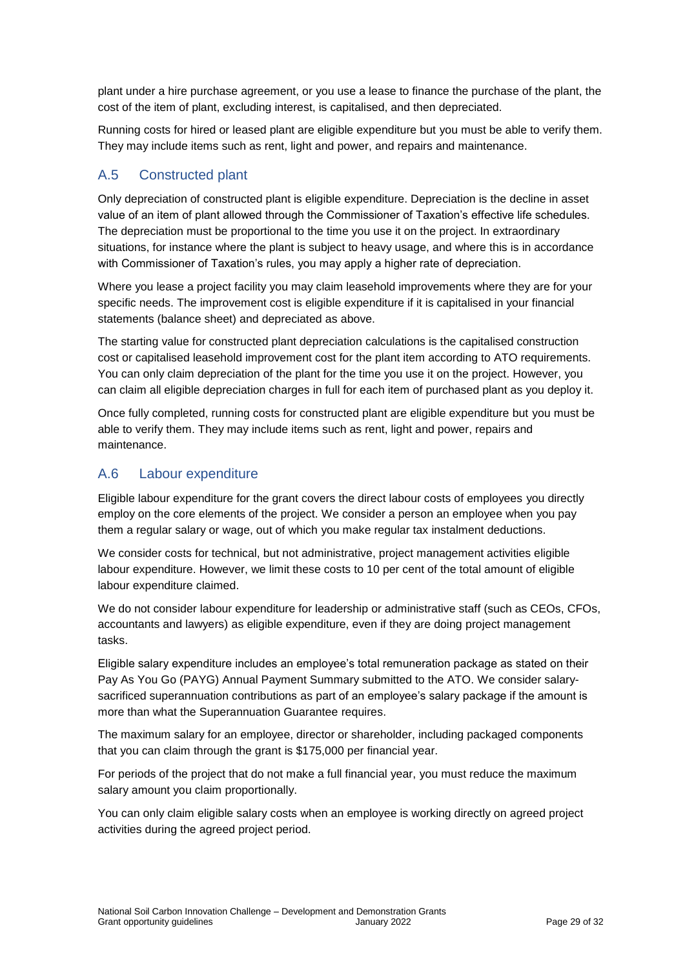plant under a hire purchase agreement, or you use a lease to finance the purchase of the plant, the cost of the item of plant, excluding interest, is capitalised, and then depreciated.

Running costs for hired or leased plant are eligible expenditure but you must be able to verify them. They may include items such as rent, light and power, and repairs and maintenance.

### A.5 Constructed plant

Only depreciation of constructed plant is eligible expenditure. Depreciation is the decline in asset value of an item of plant allowed through the Commissioner of Taxation's effective life schedules. The depreciation must be proportional to the time you use it on the project. In extraordinary situations, for instance where the plant is subject to heavy usage, and where this is in accordance with Commissioner of Taxation's rules, you may apply a higher rate of depreciation.

Where you lease a project facility you may claim leasehold improvements where they are for your specific needs. The improvement cost is eligible expenditure if it is capitalised in your financial statements (balance sheet) and depreciated as above.

The starting value for constructed plant depreciation calculations is the capitalised construction cost or capitalised leasehold improvement cost for the plant item according to ATO requirements. You can only claim depreciation of the plant for the time you use it on the project. However, you can claim all eligible depreciation charges in full for each item of purchased plant as you deploy it.

Once fully completed, running costs for constructed plant are eligible expenditure but you must be able to verify them. They may include items such as rent, light and power, repairs and maintenance.

#### A.6 Labour expenditure

Eligible labour expenditure for the grant covers the direct labour costs of employees you directly employ on the core elements of the project. We consider a person an employee when you pay them a regular salary or wage, out of which you make regular tax instalment deductions.

We consider costs for technical, but not administrative, project management activities eligible labour expenditure. However, we limit these costs to 10 per cent of the total amount of eligible labour expenditure claimed.

We do not consider labour expenditure for leadership or administrative staff (such as CEOs, CFOs, accountants and lawyers) as eligible expenditure, even if they are doing project management tasks.

Eligible salary expenditure includes an employee's total remuneration package as stated on their Pay As You Go (PAYG) Annual Payment Summary submitted to the ATO. We consider salarysacrificed superannuation contributions as part of an employee's salary package if the amount is more than what the Superannuation Guarantee requires.

The maximum salary for an employee, director or shareholder, including packaged components that you can claim through the grant is \$175,000 per financial year.

For periods of the project that do not make a full financial year, you must reduce the maximum salary amount you claim proportionally.

You can only claim eligible salary costs when an employee is working directly on agreed project activities during the agreed project period.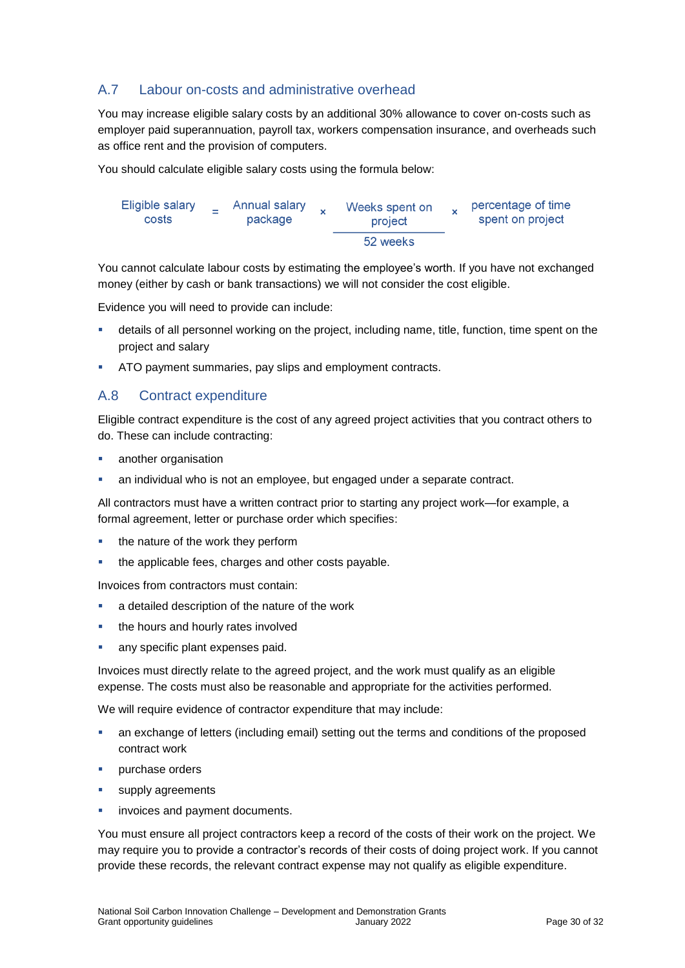### A.7 Labour on-costs and administrative overhead

You may increase eligible salary costs by an additional 30% allowance to cover on-costs such as employer paid superannuation, payroll tax, workers compensation insurance, and overheads such as office rent and the provision of computers.

You should calculate eligible salary costs using the formula below:

| Eligible salary | Annual salary | Weeks spent on |  | percentage of time |
|-----------------|---------------|----------------|--|--------------------|
| costs           | package       | project        |  | spent on project   |
|                 |               | 52 weeks       |  |                    |

You cannot calculate labour costs by estimating the employee's worth. If you have not exchanged money (either by cash or bank transactions) we will not consider the cost eligible.

Evidence you will need to provide can include:

- details of all personnel working on the project, including name, title, function, time spent on the project and salary
- ATO payment summaries, pay slips and employment contracts.

#### A.8 Contract expenditure

Eligible contract expenditure is the cost of any agreed project activities that you contract others to do. These can include contracting:

- another organisation
- an individual who is not an employee, but engaged under a separate contract.

All contractors must have a written contract prior to starting any project work—for example, a formal agreement, letter or purchase order which specifies:

- the nature of the work they perform
- the applicable fees, charges and other costs payable.

Invoices from contractors must contain:

- a detailed description of the nature of the work
- the hours and hourly rates involved
- **any specific plant expenses paid.**

Invoices must directly relate to the agreed project, and the work must qualify as an eligible expense. The costs must also be reasonable and appropriate for the activities performed.

We will require evidence of contractor expenditure that may include:

- an exchange of letters (including email) setting out the terms and conditions of the proposed contract work
- purchase orders
- **supply agreements**
- invoices and payment documents.

You must ensure all project contractors keep a record of the costs of their work on the project. We may require you to provide a contractor's records of their costs of doing project work. If you cannot provide these records, the relevant contract expense may not qualify as eligible expenditure.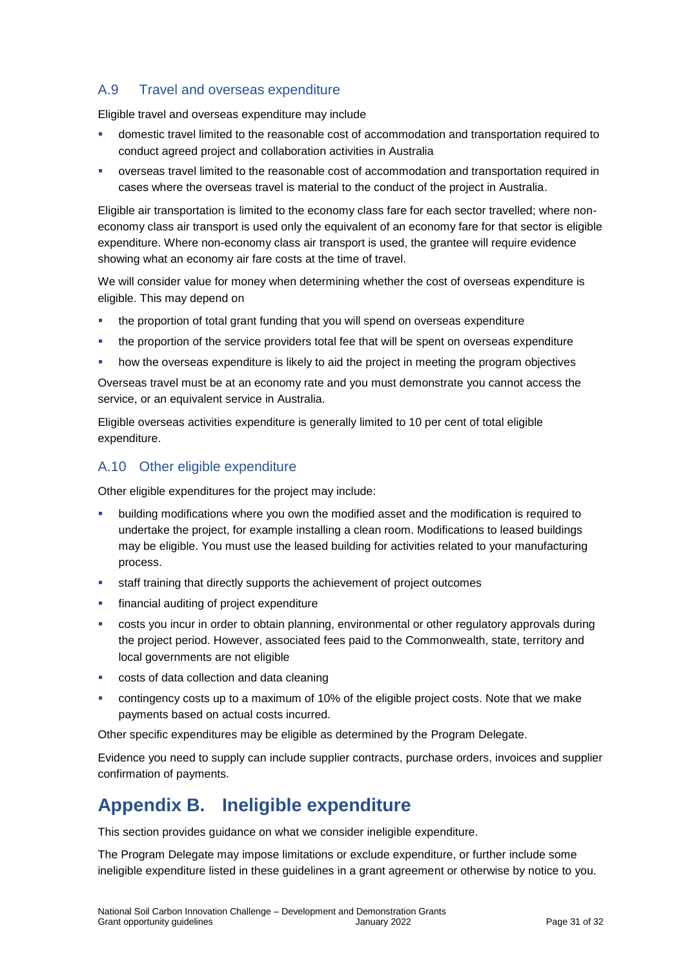### A.9 Travel and overseas expenditure

Eligible travel and overseas expenditure may include

- domestic travel limited to the reasonable cost of accommodation and transportation required to conduct agreed project and collaboration activities in Australia
- overseas travel limited to the reasonable cost of accommodation and transportation required in cases where the overseas travel is material to the conduct of the project in Australia.

Eligible air transportation is limited to the economy class fare for each sector travelled; where noneconomy class air transport is used only the equivalent of an economy fare for that sector is eligible expenditure. Where non-economy class air transport is used, the grantee will require evidence showing what an economy air fare costs at the time of travel.

We will consider value for money when determining whether the cost of overseas expenditure is eligible. This may depend on

- **the proportion of total grant funding that you will spend on overseas expenditure**
- the proportion of the service providers total fee that will be spent on overseas expenditure
- how the overseas expenditure is likely to aid the project in meeting the program objectives

Overseas travel must be at an economy rate and you must demonstrate you cannot access the service, or an equivalent service in Australia.

Eligible overseas activities expenditure is generally limited to 10 per cent of total eligible expenditure.

#### A.10 Other eligible expenditure

Other eligible expenditures for the project may include:

- building modifications where you own the modified asset and the modification is required to undertake the project, for example installing a clean room. Modifications to leased buildings may be eligible. You must use the leased building for activities related to your manufacturing process.
- staff training that directly supports the achievement of project outcomes
- financial auditing of project expenditure
- costs you incur in order to obtain planning, environmental or other regulatory approvals during the project period. However, associated fees paid to the Commonwealth, state, territory and local governments are not eligible
- costs of data collection and data cleaning
- contingency costs up to a maximum of 10% of the eligible project costs. Note that we make payments based on actual costs incurred.

Other specific expenditures may be eligible as determined by the Program Delegate.

Evidence you need to supply can include supplier contracts, purchase orders, invoices and supplier confirmation of payments.

# **Appendix B. Ineligible expenditure**

This section provides guidance on what we consider ineligible expenditure.

The Program Delegate may impose limitations or exclude expenditure, or further include some ineligible expenditure listed in these guidelines in a grant agreement or otherwise by notice to you.